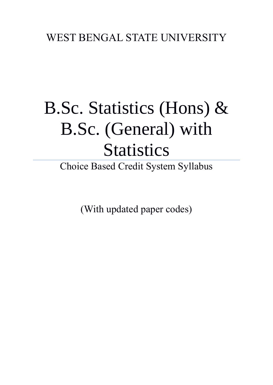## WEST BENGAL STATE UNIVERSITY

# B.Sc. Statistics (Hons) & B.Sc. (General) with **Statistics**

Choice Based Credit System Syllabus

(With updated paper codes)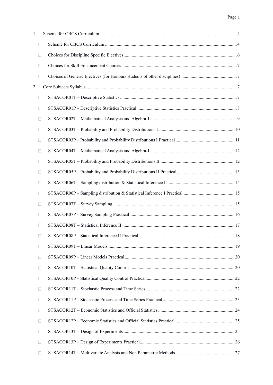| 1. |              |  |
|----|--------------|--|
|    | $\Box$       |  |
|    | П            |  |
|    | П            |  |
|    | П            |  |
| 2. |              |  |
|    | $\Box$       |  |
|    | Ш            |  |
|    | Ш            |  |
|    | Ш            |  |
|    | П            |  |
|    | П            |  |
|    | Ш            |  |
|    | Ш            |  |
|    | П            |  |
|    | Ш            |  |
|    | $\mathbf{L}$ |  |
|    | Ш            |  |
|    | П            |  |
|    | $\Box$       |  |
|    | Ш            |  |
|    | Ш            |  |
|    | П            |  |
|    | Ш            |  |
|    | $\mathbf{I}$ |  |
|    | Ш            |  |
|    | Ш            |  |
|    | Ш            |  |
|    | $\mathbf{L}$ |  |
|    | Ш            |  |
|    | ш            |  |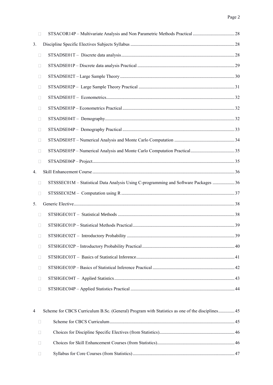| 3. |                |                                                                                      |  |
|----|----------------|--------------------------------------------------------------------------------------|--|
|    | $\Box$         |                                                                                      |  |
|    | $\mathbf{L}$   |                                                                                      |  |
|    | Ш              |                                                                                      |  |
|    | Ш              |                                                                                      |  |
|    | Ш              |                                                                                      |  |
|    | $\mathbf{L}$   |                                                                                      |  |
|    | $\mathbf{L}$   |                                                                                      |  |
|    | Ш              |                                                                                      |  |
|    | $\Box$         |                                                                                      |  |
|    | Ш              |                                                                                      |  |
|    | $\mathbb{R}^n$ |                                                                                      |  |
| 4. |                |                                                                                      |  |
|    | $\Box$         | STSSSEC01M - Statistical Data Analysis Using C-programming and Software Packages  36 |  |
|    | П              |                                                                                      |  |
| 5. |                |                                                                                      |  |
|    | $\Box$         |                                                                                      |  |
|    | П              |                                                                                      |  |
|    | $\Box$         |                                                                                      |  |
|    | $\Box$         |                                                                                      |  |
|    | Ш              |                                                                                      |  |
|    | □              |                                                                                      |  |
|    | Ш              |                                                                                      |  |
|    | $\Box$         |                                                                                      |  |
|    |                |                                                                                      |  |

| $\overline{4}$ |                  | Scheme for CBCS Curriculum B.Sc. (General) Program with Statistics as one of the disciplines45 |  |
|----------------|------------------|------------------------------------------------------------------------------------------------|--|
|                |                  |                                                                                                |  |
|                |                  |                                                                                                |  |
|                | $\mathbf{1}$     |                                                                                                |  |
|                | <b>TELESCOPE</b> |                                                                                                |  |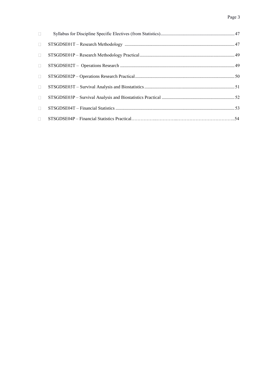| $\Box$ |  |
|--------|--|
| $\Box$ |  |
| П      |  |
| $\Box$ |  |
| $\Box$ |  |
| $\Box$ |  |
| $\Box$ |  |
| $\Box$ |  |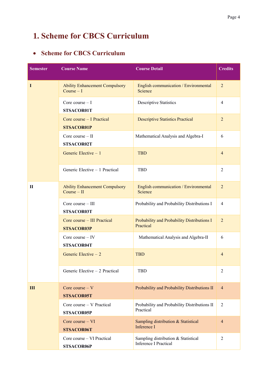## <span id="page-4-0"></span>**1. Scheme for CBCS Curriculum**

## <span id="page-4-1"></span>• **Scheme for CBCS Curriculum**

| <b>Semester</b> | <b>Course Name</b>                                     | <b>Course Detail</b>                                                | <b>Credits</b> |
|-----------------|--------------------------------------------------------|---------------------------------------------------------------------|----------------|
| I               | <b>Ability Enhancement Compulsory</b><br>Course $-1$   | English communication / Environmental<br>Science                    | $\overline{2}$ |
|                 | Core course $-1$<br>STSACOR01T                         | <b>Descriptive Statistics</b>                                       | $\overline{4}$ |
|                 | Core course – I Practical<br><b>STSACOR01P</b>         | <b>Descriptive Statistics Practical</b>                             | $\overline{2}$ |
|                 | Core course $-$ II<br>STSACOR02T                       | Mathematical Analysis and Algebra-I                                 | 6              |
|                 | Generic Elective $-1$                                  | <b>TBD</b>                                                          | $\overline{4}$ |
|                 | Generic Elective - 1 Practical                         | TBD                                                                 | $\overline{2}$ |
| П               | <b>Ability Enhancement Compulsory</b><br>$Course - II$ | English communication / Environmental<br>Science                    | $\overline{2}$ |
|                 | Core course $-$ III<br>STSACOR03T                      | Probability and Probability Distributions I                         | $\overline{4}$ |
|                 | Core course - III Practical<br><b>STSACOR03P</b>       | Probability and Probability Distributions I<br>Practical            | $\overline{2}$ |
|                 | Core course $-$ IV<br>STSACOR04T                       | Mathematical Analysis and Algebra-II                                | 6              |
|                 | Generic Elective $-2$                                  | <b>TBD</b>                                                          | $\overline{4}$ |
|                 | Generic Elective - 2 Practical                         | <b>TBD</b>                                                          | $\overline{2}$ |
| III             | Core course $- V$<br><b>STSACOR05T</b>                 | Probability and Probability Distributions II                        | $\overline{4}$ |
|                 | Core course - V Practical<br><b>STSACOR05P</b>         | Probability and Probability Distributions II<br>Practical           | $\overline{2}$ |
|                 | Core course - VI<br><b>STSACOR06T</b>                  | Sampling distribution & Statistical<br>Inference I                  | $\overline{4}$ |
|                 | Core course – VI Practical<br><b>STSACOR06P</b>        | Sampling distribution & Statistical<br><b>Inference I Practical</b> | $\overline{2}$ |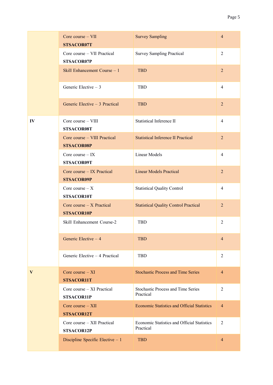|    | Core course - VII<br>STSACOR07T                   | <b>Survey Sampling</b>                                   | $\overline{4}$ |
|----|---------------------------------------------------|----------------------------------------------------------|----------------|
|    | Core course - VII Practical<br>STSACOR07P         | <b>Survey Sampling Practical</b>                         | $\overline{2}$ |
|    | Skill Enhancement Course - 1                      | <b>TBD</b>                                               | $\overline{2}$ |
|    | Generic Elective $-3$                             | <b>TBD</b>                                               | $\overline{4}$ |
|    | Generic Elective - 3 Practical                    | <b>TBD</b>                                               | $\overline{2}$ |
| IV | Core course - VIII<br>STSACOR08T                  | <b>Statistical Inference II</b>                          | $\overline{4}$ |
|    | Core course - VIII Practical<br><b>STSACOR08P</b> | <b>Statistical Inference II Practical</b>                | $\overline{2}$ |
|    | Core course $-$ IX<br>STSACOR09T                  | <b>Linear Models</b>                                     | $\overline{4}$ |
|    | Core course - IX Practical<br><b>STSACOR09P</b>   | <b>Linear Models Practical</b>                           | $\overline{2}$ |
|    | Core course $- X$<br>STSACOR10T                   | <b>Statistical Quality Control</b>                       | $\overline{4}$ |
|    | Core course $-$ X Practical<br><b>STSACOR10P</b>  | <b>Statistical Quality Control Practical</b>             | $\overline{2}$ |
|    | Skill Enhancement Course-2                        | <b>TBD</b>                                               | $\overline{2}$ |
|    | Generic Elective - 4                              | <b>TBD</b>                                               | $\overline{4}$ |
|    | Generic Elective - 4 Practical                    | TBD                                                      | $\overline{2}$ |
| V  | Core course $- XI$<br><b>STSACOR11T</b>           | <b>Stochastic Process and Time Series</b>                | $\overline{4}$ |
|    | Core course - XI Practical<br><b>STSACOR11P</b>   | <b>Stochastic Process and Time Series</b><br>Practical   | $\overline{2}$ |
|    | Core course $- XII$<br>STSACOR12T                 | <b>Economic Statistics and Official Statistics</b>       | $\overline{4}$ |
|    | Core course - XII Practical<br><b>STSACOR12P</b>  | Economic Statistics and Official Statistics<br>Practical | $\overline{2}$ |
|    | Discipline Specific Elective - 1                  | <b>TBD</b>                                               | $\overline{4}$ |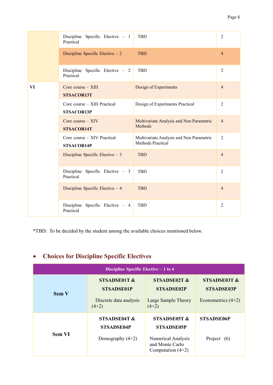|    | Discipline Specific Elective $-1$<br>Practical    | <b>TBD</b>                                                           | $\overline{2}$ |
|----|---------------------------------------------------|----------------------------------------------------------------------|----------------|
|    | Discipline Specific Elective $-2$                 | <b>TBD</b>                                                           | $\overline{4}$ |
|    | Discipline Specific Elective - 2<br>Practical     | <b>TBD</b>                                                           | $\overline{2}$ |
| VI | Core course $-$ XIII<br><b>STSACOR13T</b>         | Design of Experiments                                                | $\overline{4}$ |
|    | Core course – XIII Practical<br><b>STSACOR13P</b> | Design of Experiments Practical                                      | $\overline{2}$ |
|    | Core course $-$ XIV<br><b>STSACOR14T</b>          | Multivariate Analysis and Non Parametric<br>Methods                  | $\overline{4}$ |
|    | Core course – XIV Practical<br><b>STSACOR14P</b>  | Multivariate Analysis and Non Parametric<br><b>Methods Practical</b> | $\overline{2}$ |
|    | Discipline Specific Elective $-3$                 | <b>TBD</b>                                                           | $\overline{4}$ |
|    | Discipline Specific Elective - 3<br>Practical     | <b>TBD</b>                                                           | $\overline{2}$ |
|    | Discipline Specific Elective $-4$                 | <b>TBD</b>                                                           | $\overline{4}$ |
|    | Discipline Specific Elective $-4$<br>Practical    | <b>TBD</b>                                                           | $\overline{2}$ |

\*TBD: To be decided by the student among the available choices mentioned below.

## <span id="page-6-0"></span>• **Choices for Discipline Specific Electives**

| Discipline Specific Elective $-1$ to 4 |                                                                        |                                                                                                   |                                                           |  |  |
|----------------------------------------|------------------------------------------------------------------------|---------------------------------------------------------------------------------------------------|-----------------------------------------------------------|--|--|
| <b>Sem V</b>                           | STSADSE01T &<br><b>STSADSE01P</b><br>Discrete data analysis<br>$(4+2)$ | STSADSE02T &<br><b>STSADSE02P</b><br>Large Sample Theory<br>$(4+2)$                               | STSADSE03T &<br><b>STSADSE03P</b><br>Econometrics $(4+2)$ |  |  |
| <b>Sem VI</b>                          | STSADSE04T &<br><b>STSADSE04P</b><br>Demography $(4+2)$                | STSADSE05T &<br><b>STSADSE05P</b><br>Numerical Analysis<br>and Monte Carlo<br>Computation $(4+2)$ | <b>STSADSE06P</b><br>Project $(6)$                        |  |  |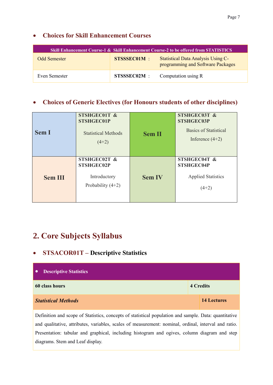## <span id="page-7-0"></span>• **Choices for Skill Enhancement Courses**

| Skill Enhancement Course-1 & Skill Enhancement Course-2 to be offered from STATISTICS |                    |                                                                                |  |  |  |
|---------------------------------------------------------------------------------------|--------------------|--------------------------------------------------------------------------------|--|--|--|
| <b>Odd Semester</b>                                                                   | <b>STSSSEC01M:</b> | <b>Statistical Data Analysis Using C-</b><br>programming and Software Packages |  |  |  |
| Even Semester                                                                         | STSSSEC02M:        | Computation using R                                                            |  |  |  |

## <span id="page-7-1"></span>• **Choices of Generic Electives (for Honours students of other disciplines)**

| <b>Sem I</b>   | STSHGEC01T &<br><b>STSHGEC01P</b><br><b>Statistical Methods</b><br>$(4+2)$ | <b>Sem II</b> | STSHGEC03T &<br><b>STSHGEC03P</b><br>Basics of Statistical<br>Inference $(4+2)$ |
|----------------|----------------------------------------------------------------------------|---------------|---------------------------------------------------------------------------------|
| <b>Sem III</b> | STSHGEC02T &<br><b>STSHGEC02P</b><br>Introductory<br>Probability $(4+2)$   | <b>Sem IV</b> | STSHGEC04T &<br><b>STSHGEC04P</b><br><b>Applied Statistics</b><br>$(4+2)$       |

## <span id="page-7-2"></span>**2. Core Subjects Syllabus**

## <span id="page-7-3"></span>• **STSACOR01T – Descriptive Statistics**

| <b>Descriptive Statistics</b>                                                                         |  |                    |  |  |
|-------------------------------------------------------------------------------------------------------|--|--------------------|--|--|
| 60 class hours                                                                                        |  | <b>4 Credits</b>   |  |  |
| <b>Statistical Methods</b>                                                                            |  | <b>14 Lectures</b> |  |  |
| Definition and scope of Statistics, concepts of statistical population and sample. Data: quantitative |  |                    |  |  |

and qualitative, attributes, variables, scales of measurement: nominal, ordinal, interval and ratio. Presentation: tabular and graphical, including histogram and ogives, column diagram and step diagrams. Stem and Leaf display.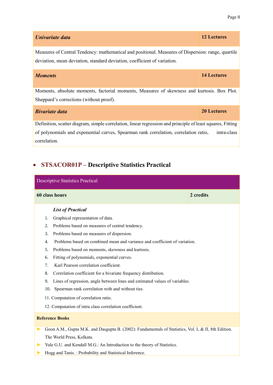| Univariate data                                                                                                                                                                | <b>12 Lectures</b> |  |  |  |
|--------------------------------------------------------------------------------------------------------------------------------------------------------------------------------|--------------------|--|--|--|
| Measures of Central Tendency: mathematical and positional. Measures of Dispersion: range, quartile<br>deviation, mean deviation, standard deviation, coefficient of variation. |                    |  |  |  |
| <b>14 Lectures</b><br><b>Moments</b>                                                                                                                                           |                    |  |  |  |
| Moments, absolute moments, factorial moments, Measures of skewness and kurtosis. Box Plot.<br>Sheppard's corrections (without proof).                                          |                    |  |  |  |
| <b>20 Lectures</b><br><b>Bivariate data</b>                                                                                                                                    |                    |  |  |  |
| Definition, scatter diagram, simple correlation, linear regression and principle of least squares, Fitting                                                                     |                    |  |  |  |
| of polynomials and exponential curves, Spearman rank correlation, correlation ratio,<br>intra-class<br>correlation.                                                            |                    |  |  |  |

## <span id="page-8-0"></span>• **STSACOR01P – Descriptive Statistics Practical**

| <b>Descriptive Statistics Practical</b>                                                                   |           |
|-----------------------------------------------------------------------------------------------------------|-----------|
| 60 class hours                                                                                            | 2 credits |
| <b>List of Practical</b>                                                                                  |           |
| Graphical representation of data.<br>1.                                                                   |           |
| Problems based on measures of central tendency.<br>2.                                                     |           |
| Problems based on measures of dispersion.<br>3.                                                           |           |
| Problems based on combined mean and variance and coefficient of variation.<br>4.                          |           |
| Problems based on moments, skewness and kurtosis.<br>5.                                                   |           |
| Fitting of polynomials, exponential curves.<br>6.                                                         |           |
| Karl Pearson correlation coefficient.<br>7.                                                               |           |
| Correlation coefficient for a bivariate frequency distribution.<br>8.                                     |           |
| Lines of regression, angle between lines and estimated values of variables.<br>9.                         |           |
| Spearman rank correlation with and without ties.<br>10.                                                   |           |
| 11. Computation of correlation ratio.                                                                     |           |
| 12. Computation of intra class correlation coefficient.                                                   |           |
| <b>Reference Books</b>                                                                                    |           |
| Goon A.M., Gupta M.K. and Dasgupta B. (2002): Fundamentals of Statistics, Vol. I, & II, 8th Edition.<br>▶ |           |
| The World Press, Kolkata.                                                                                 |           |
| Yule G.U. and Kendall M.G.: An Introduction to the theory of Statistics.                                  |           |

**►** Hogg and Tanis. : Probability and Statistical Inference.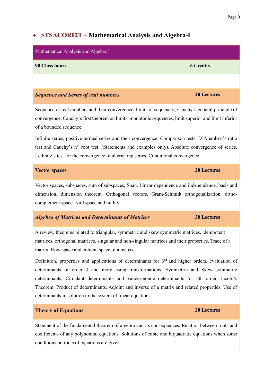## <span id="page-9-0"></span>• **STSACOR02T – Mathematical Analysis and Algebra-I**

| Mathematical Analysis and Algebra-I                                                                |                    |
|----------------------------------------------------------------------------------------------------|--------------------|
| 90 Class hours                                                                                     | <b>6 Credits</b>   |
|                                                                                                    |                    |
| <b>Sequence and Series of real numbers</b>                                                         | <b>20 Lectures</b> |
| Sequence of real numbers and their convergence, limits of sequences, Cauchy's general principle of |                    |

convergence, Cauchy's first theorem on limits, monotonic sequences, limit superior and limit inferior of a bounded sequence.

Infinite series, positive-termed series and their convergence. Comparison tests, D'Alembert's ratio test and Cauchy's n<sup>th</sup> root test, (Statements and examples only). Absolute convergence of series, Leibnitz's test for the convergence of alternating series, Conditional convergence.

| <b>Vector spaces</b> | 20 Lectures |
|----------------------|-------------|
|                      |             |

Vector spaces, subspaces, sum of subspaces, Span. Linear dependence and independence, basis and dimension, dimension theorem. Orthogonal vectors, Gram-Schmidt orthogonalization, orthocomplement space. Null space and nullity.

#### *Algebra of Matrices and Determinants of Matrices* **30 Lectures**

A review, theorems related to triangular, symmetric and skew symmetric matrices, idempotent matrices, orthogonal matrices, singular and non-singular matrices and their properties. Trace of a matrix. Row space and column space of a matrix.

Definition, properties and applications of determinants for  $3<sup>rd</sup>$  and higher orders, evaluation of determinants of order 3 and more using transformations. Symmetric and Skew symmetric determinants, Circulant determinants and Vandermonde determinants for nth order, Jacobi's Theorem. Product of determinants. Adjoint and inverse of a matrix and related properties. Use of determinants in solution to the system of linear equations.

#### **Theory of Equations 20 Lectures**

Statement of the fundamental theorem of algebra and its consequences. Relation between roots and coefficients of any polynomial equations. Solutions of cubic and biquadratic equations when some conditions on roots of equations are given.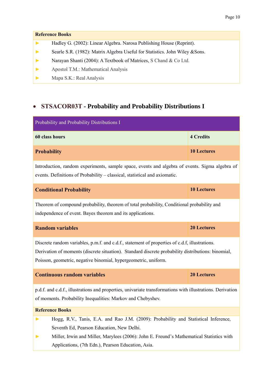#### **Reference Books**

- **►** Hadley G. (2002): Linear Algebra. Narosa Publishing House (Reprint).
- **►** Searle S.R. (1982): Matrix Algebra Useful for Statistics. John Wiley &Sons.
- **►** Narayan Shanti (2004): A Textbook of Matrices, S Chand & Co Ltd.
- **►** Apostol T.M.: Mathematical Analysis
- <span id="page-10-0"></span>**►** Mapa S.K.: Real Analysis

## • **STSACOR03T - Probability and Probability Distributions I**

| Probability and Probability Distributions I                                                                                                                                                                                                                             |                    |
|-------------------------------------------------------------------------------------------------------------------------------------------------------------------------------------------------------------------------------------------------------------------------|--------------------|
| 60 class hours                                                                                                                                                                                                                                                          | <b>4 Credits</b>   |
| <b>Probability</b>                                                                                                                                                                                                                                                      | <b>10 Lectures</b> |
| Introduction, random experiments, sample space, events and algebra of events. Sigma algebra of<br>events. Definitions of Probability - classical, statistical and axiomatic.                                                                                            |                    |
| <b>Conditional Probability</b>                                                                                                                                                                                                                                          | <b>10 Lectures</b> |
| Theorem of compound probability, theorem of total probability, Conditional probability and<br>independence of event. Bayes theorem and its applications.                                                                                                                |                    |
| <b>Random variables</b>                                                                                                                                                                                                                                                 | <b>20 Lectures</b> |
| Discrete random variables, p.m.f. and c.d.f., statement of properties of c.d.f, illustrations.<br>Derivation of moments (discrete situation). Standard discrete probability distributions: binomial,<br>Poisson, geometric, negative binomial, hypergeometric, uniform. |                    |
| <b>Continuous random variables</b>                                                                                                                                                                                                                                      | 20 Lectures        |
| p.d.f. and c.d.f., illustrations and properties, univariate transformations with illustrations. Derivation<br>of moments. Probability Inequalities: Markov and Chebyshev.                                                                                               |                    |
| <b>Reference Books</b>                                                                                                                                                                                                                                                  |                    |
| Hogg, R.V., Tanis, E.A. and Rao J.M. (2009): Probability and Statistical Inference,<br>▶<br>Seventh Ed, Pearson Education, New Delhi.<br>Miller, Irwin and Miller, Marylees (2006): John E. Freund's Mathematical Statistics with<br>▶                                  |                    |
| Applications, (7th Edn.), Pearson Education, Asia.                                                                                                                                                                                                                      |                    |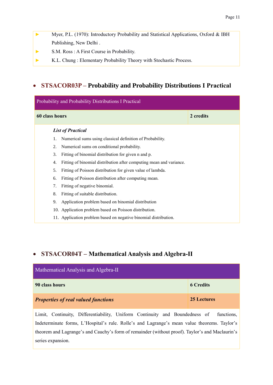- **►** Myer, P.L. (1970): Introductory Probability and Statistical Applications, Oxford & IBH Publishing, New Delhi .
- **►** S.M. Ross : A First Course in Probability.
- **►** K.L. Chung : Elementary Probability Theory with Stochastic Process.

### • **STSACOR03P – Probability and Probability Distributions I Practical**

| Probability and Probability Distributions I Practical                     |           |  |
|---------------------------------------------------------------------------|-----------|--|
| 60 class hours                                                            | 2 credits |  |
| <b>List of Practical</b>                                                  |           |  |
| Numerical sums using classical definition of Probability.<br>1.           |           |  |
| Numerical sums on conditional probability.<br>2.                          |           |  |
| 3.<br>Fitting of binomial distribution for given n and p.                 |           |  |
| Fitting of binomial distribution after computing mean and variance.<br>4. |           |  |
| Fitting of Poisson distribution for given value of lambda.<br>5.          |           |  |
| Fitting of Poisson distribution after computing mean.<br>6.               |           |  |
| Fitting of negative binomial.<br>7.                                       |           |  |
| Fitting of suitable distribution.<br>8.                                   |           |  |
| Application problem based on binomial distribution<br>9.                  |           |  |
| 10. Application problem based on Poisson distribution.                    |           |  |
| 11. Application problem based on negative binomial distribution.          |           |  |

### <span id="page-11-0"></span>• **STSACOR04T – Mathematical Analysis and Algebra-II**

| Mathematical Analysis and Algebra-II       |                  |
|--------------------------------------------|------------------|
| 90 class hours                             | <b>6 Credits</b> |
| <b>Properties of real valued functions</b> | 25 Lectures      |

Limit, Continuity, Differentiability, Uniform Continuity and Boundedness of functions, Indeterminate forms, L'Hospital's rule. Rolle's and Lagrange's mean value theorems. Taylor's theorem and Lagrange's and Cauchy's form of remainder (without proof). Taylor's and Maclaurin's series expansion.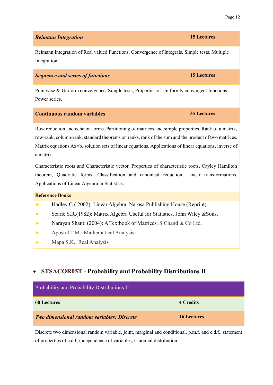| <b>Reimann Integration</b>                                                                                                                                                                                                                                                                                                                                                                                                                                                                                                                                                            | <b>15 Lectures</b> |
|---------------------------------------------------------------------------------------------------------------------------------------------------------------------------------------------------------------------------------------------------------------------------------------------------------------------------------------------------------------------------------------------------------------------------------------------------------------------------------------------------------------------------------------------------------------------------------------|--------------------|
| Reimann Integration of Real valued Functions. Convergence of Integrals, Simple tests. Multiple<br>Integration.                                                                                                                                                                                                                                                                                                                                                                                                                                                                        |                    |
| <b>Sequence and series of functions</b>                                                                                                                                                                                                                                                                                                                                                                                                                                                                                                                                               | <b>15 Lectures</b> |
| Pointwise & Uniform convergence. Simple tests, Properties of Uniformly convergent functions.<br>Power series.                                                                                                                                                                                                                                                                                                                                                                                                                                                                         |                    |
| <b>Continuous random variables</b>                                                                                                                                                                                                                                                                                                                                                                                                                                                                                                                                                    | <b>35 Lectures</b> |
| Row reduction and echelon forms. Partitioning of matrices and simple properties. Rank of a matrix,<br>row-rank, column-rank, standard theorems on ranks, rank of the sum and the product of two matrices.<br>Matrix equations Ax=b, solution sets of linear equations. Applications of linear equations, inverse of<br>a matrix.<br>Characteristic roots and Characteristic vector, Properties of characteristic roots, Cayley Hamilton<br>theorem, Quadratic forms: Classification and canonical reduction. Linear transformations.<br>Applications of Linear Algebra in Statistics. |                    |
| <b>Reference Books</b>                                                                                                                                                                                                                                                                                                                                                                                                                                                                                                                                                                |                    |
| Hadley G.(2002): Linear Algebra. Narosa Publishing House (Reprint).<br>$\blacktriangleright$                                                                                                                                                                                                                                                                                                                                                                                                                                                                                          |                    |
| Searle S.R.(1982): Matrix Algebra Useful for Statistics. John Wiley & Sons.                                                                                                                                                                                                                                                                                                                                                                                                                                                                                                           |                    |
| Narayan Shanti (2004): A Textbook of Matrices, S Chand & Co Ltd.                                                                                                                                                                                                                                                                                                                                                                                                                                                                                                                      |                    |
| Apostol T.M.: Mathematical Analysis                                                                                                                                                                                                                                                                                                                                                                                                                                                                                                                                                   |                    |

**►** Mapa S.K.: Real Analysis

### <span id="page-12-0"></span>• **STSACOR05T - Probability and Probability Distributions II**

| Probability and Probability Distributions II      |                    |
|---------------------------------------------------|--------------------|
| <b>60 Lectures</b>                                | <b>4 Credits</b>   |
| <b>Two dimensional random variables: Discrete</b> | <b>16 Lectures</b> |

Discrete two dimensional random variable, joint, marginal and conditional, p.m.f. and c.d.f., statement of properties of c.d.f, independence of variables, trinomial distribution.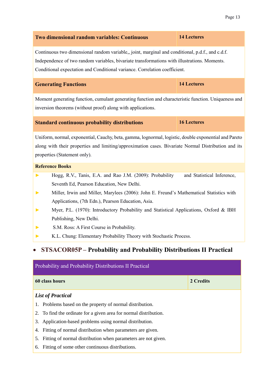| Two dimensional random variables: Continuous                                                                                                                                                                                                                                   | <b>14 Lectures</b>         |  |
|--------------------------------------------------------------------------------------------------------------------------------------------------------------------------------------------------------------------------------------------------------------------------------|----------------------------|--|
| Continuous two dimensional random variable,, joint, marginal and conditional, p.d.f., and c.d.f.<br>Independence of two random variables, bivariate transformations with illustrations. Moments.<br>Conditional expectation and Conditional variance. Correlation coefficient. |                            |  |
| <b>Generating Functions</b>                                                                                                                                                                                                                                                    | <b>14 Lectures</b>         |  |
| Moment generating function, cumulant generating function and characteristic function. Uniqueness and<br>inversion theorems (without proof) along with applications.                                                                                                            |                            |  |
| <b>Standard continuous probability distributions</b>                                                                                                                                                                                                                           | <b>16 Lectures</b>         |  |
| Uniform, normal, exponential, Cauchy, beta, gamma, lognormal, logistic, double exponential and Pareto<br>along with their properties and limiting/approximation cases. Bivariate Normal Distribution and its<br>properties (Statement only).                                   |                            |  |
| <b>Reference Books</b>                                                                                                                                                                                                                                                         |                            |  |
| Hogg, R.V., Tanis, E.A. and Rao J.M. (2009): Probability<br>▶                                                                                                                                                                                                                  | and Statistical Inference, |  |
| Seventh Ed, Pearson Education, New Delhi.<br>Miller, Irwin and Miller, Marylees (2006): John E. Freund's Mathematical Statistics with<br>▶<br>Applications, (7th Edn.), Pearson Education, Asia.                                                                               |                            |  |
| Myer, P.L. (1970): Introductory Probability and Statistical Applications, Oxford & IBH<br>▶<br>Publishing, New Delhi.                                                                                                                                                          |                            |  |
| S.M. Ross: A First Course in Probability.                                                                                                                                                                                                                                      |                            |  |
| K.L. Chung: Elementary Probability Theory with Stochastic Process.                                                                                                                                                                                                             |                            |  |
| <b>STSACOR05P</b> – Probability and Probability Distributions II Practical<br>$\bullet$<br>Probability and Probability Distributions II Practical                                                                                                                              |                            |  |
|                                                                                                                                                                                                                                                                                |                            |  |
| 60 class hours                                                                                                                                                                                                                                                                 | 2 Credits                  |  |
| <b>List of Practical</b>                                                                                                                                                                                                                                                       |                            |  |

- <span id="page-13-0"></span>1. Problems based on the property of normal distribution.
- 2. To find the ordinate for a given area for normal distribution.
- 3. Application-based problems using normal distribution.
- 4. Fitting of normal distribution when parameters are given.
- 5. Fitting of normal distribution when parameters are not given.
- 6. Fitting of some other continuous distributions.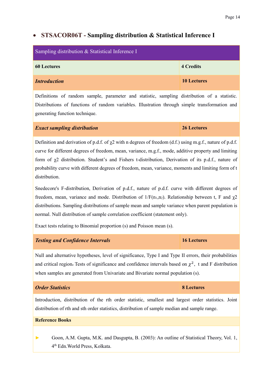### <span id="page-14-0"></span>• **STSACOR06T - Sampling distribution & Statistical Inference I**

| Sampling distribution & Statistical Inference I |                    |
|-------------------------------------------------|--------------------|
| <b>60 Lectures</b>                              | <b>4 Credits</b>   |
| <b>Introduction</b>                             | <b>10 Lectures</b> |

Definitions of random sample, parameter and statistic, sampling distribution of a statistic. Distributions of functions of random variables. Illustration through simple transformation and generating function technique.

#### *Exact sampling distribution* **26 Lectures**

Definition and derivation of p.d.f. of  $\chi$ 2 with n degrees of freedom (d.f.) using m.g.f., nature of p.d.f. curve for different degrees of freedom, mean, variance, m.g.f., mode, additive property and limiting form of χ2 distribution. Student's and Fishers t-distribution, Derivation of its p.d.f., nature of probability curve with different degrees of freedom, mean, variance, moments and limiting form of t distribution.

Snedecore's F-distribution, Derivation of p.d.f., nature of p.d.f. curve with different degrees of freedom, mean, variance and mode. Distribution of  $1/F(n_1,n_2)$ . Relationship between t, F and  $\chi$ 2 distributions. Sampling distributions of sample mean and sample variance when parent population is normal. Null distribution of sample correlation coefficient (statement only).

Exact tests relating to Binomial proportion (s) and Poisson mean (s).

#### *Testing and Confidence Intervals* **16 Lectures**

Null and alternative hypotheses, level of significance, Type I and Type II errors, their probabilities and critical region. Tests of significance and confidence intervals based on  $\chi^2$ , t and F distribution when samples are generated from Univariate and Bivariate normal population (s).

#### *Order Statistics* **8 Lectures**

Introduction, distribution of the rth order statistic, smallest and largest order statistics. Joint distribution of rth and sth order statistics, distribution of sample median and sample range.

#### **Reference Books**

**►** Goon, A.M. Gupta, M.K. and Dasgupta, B. (2003): An outline of Statistical Theory, Vol. 1, 4 th Edn.World Press, Kolkata.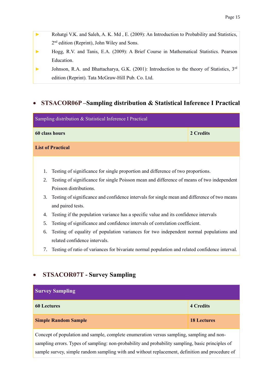- **►** Rohatgi V.K. and Saleh, A. K. Md , E. (2009): An Introduction to Probability and Statistics, 2<sup>nd</sup> edition (Reprint), John Wiley and Sons.
- **►** Hogg, R.V. and Tanis, E.A. (2009): A Brief Course in Mathematical Statistics. Pearson Education.
- **►** Johnson, R.A. and Bhattacharya, G.K. (2001): Introduction to the theory of Statistics, 3rd edition (Reprint). Tata McGraw-Hill Pub. Co. Ltd.

### <span id="page-15-0"></span>• **STSACOR06P –Sampling distribution & Statistical Inference I Practical**

| Sampling distribution & Statistical Inference I Practical                                        |                                                                                                |           |
|--------------------------------------------------------------------------------------------------|------------------------------------------------------------------------------------------------|-----------|
|                                                                                                  | 60 class hours                                                                                 | 2 Credits |
|                                                                                                  | <b>List of Practical</b>                                                                       |           |
|                                                                                                  |                                                                                                |           |
| Testing of significance for single proportion and difference of two proportions.<br>1.           |                                                                                                |           |
| Testing of significance for single Poisson mean and difference of means of two independent<br>2. |                                                                                                |           |
|                                                                                                  | Poisson distributions.                                                                         |           |
| 3.                                                                                               | Testing of significance and confidence intervals for single mean and difference of two means   |           |
|                                                                                                  | and paired tests.                                                                              |           |
| 4.                                                                                               | Testing if the population variance has a specific value and its confidence intervals           |           |
| 5.                                                                                               | Testing of significance and confidence intervals of correlation coefficient.                   |           |
| 6.                                                                                               | Testing of equality of population variances for two independent normal populations and         |           |
|                                                                                                  | related confidence intervals.                                                                  |           |
| 7.                                                                                               | Testing of ratio of variances for bivariate normal population and related confidence interval. |           |

## <span id="page-15-1"></span>• **STSACOR07T - Survey Sampling**

| <b>Survey Sampling</b>      |                    |
|-----------------------------|--------------------|
| <b>60 Lectures</b>          | <b>4 Credits</b>   |
| <b>Simple Random Sample</b> | <b>18 Lectures</b> |

Concept of population and sample, complete enumeration versus sampling, sampling and nonsampling errors. Types of sampling: non-probability and probability sampling, basic principles of sample survey, simple random sampling with and without replacement, definition and procedure of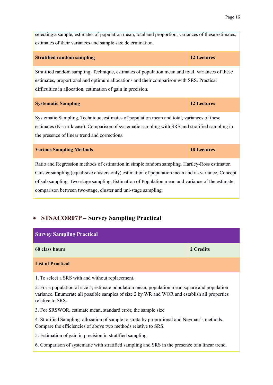| selecting a sample, estimates of population mean, total and proportion, variances of these estimates,<br>estimates of their variances and sample size determination.                                                                                                                                     |                    |  |
|----------------------------------------------------------------------------------------------------------------------------------------------------------------------------------------------------------------------------------------------------------------------------------------------------------|--------------------|--|
| <b>Stratified random sampling</b>                                                                                                                                                                                                                                                                        | <b>12 Lectures</b> |  |
| Stratified random sampling, Technique, estimates of population mean and total, variances of these<br>estimates, proportional and optimum allocations and their comparison with SRS. Practical<br>difficulties in allocation, estimation of gain in precision.                                            |                    |  |
| <b>Systematic Sampling</b>                                                                                                                                                                                                                                                                               | <b>12 Lectures</b> |  |
| Systematic Sampling, Technique, estimates of population mean and total, variances of these<br>estimates (N=n x k case). Comparison of systematic sampling with SRS and stratified sampling in<br>the presence of linear trend and corrections.                                                           |                    |  |
| <b>Various Sampling Methods</b>                                                                                                                                                                                                                                                                          | <b>18 Lectures</b> |  |
| Ratio and Regression methods of estimation in simple random sampling. Hartley-Ross estimator.<br>Cluster sampling (equal-size clusters only) estimation of population mean and its variance, Concept<br>of sub sampling. Two-stage sampling, Estimation of Population mean and variance of the estimate, |                    |  |

comparison between two-stage, cluster and uni-stage sampling.

## <span id="page-16-0"></span>• **STSACOR07P – Survey Sampling Practical**

| <b>Survey Sampling Practical</b>                                                                                                                                                                                    |           |  |
|---------------------------------------------------------------------------------------------------------------------------------------------------------------------------------------------------------------------|-----------|--|
| 60 class hours                                                                                                                                                                                                      | 2 Credits |  |
| <b>List of Practical</b>                                                                                                                                                                                            |           |  |
| 1. To select a SRS with and without replacement.                                                                                                                                                                    |           |  |
| 2. For a population of size 5, estimate population mean, population mean square and population<br>variance. Enumerate all possible samples of size 2 by WR and WOR and establish all properties<br>relative to SRS. |           |  |
| 3. For SRSWOR, estimate mean, standard error, the sample size                                                                                                                                                       |           |  |
| 4. Stratified Sampling: allocation of sample to strata by proportional and Neyman's methods.<br>Compare the efficiencies of above two methods relative to SRS.                                                      |           |  |
|                                                                                                                                                                                                                     |           |  |

5. Estimation of gain in precision in stratified sampling.

6. Comparison of systematic with stratified sampling and SRS in the presence of a linear trend.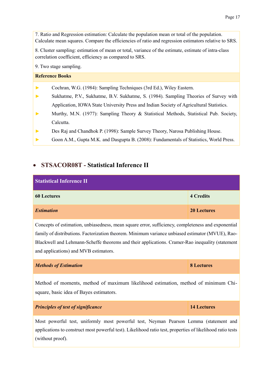7. Ratio and Regression estimation: Calculate the population mean or total of the population. Calculate mean squares. Compare the efficiencies of ratio and regression estimators relative to SRS.

8. Cluster sampling: estimation of mean or total, variance of the estimate, estimate of intra-class correlation coefficient, efficiency as compared to SRS.

9. Two stage sampling.

#### **Reference Books**

- **►** Cochran, W.G. (1984): Sampling Techniques (3rd Ed.), Wiley Eastern.
- **►** Sukhatme, P.V., Sukhatme, B.V. Sukhatme, S. (1984). Sampling Theories of Survey with Application, IOWA State University Press and Indian Society of Agricultural Statistics.
- **►** Murthy, M.N. (1977): Sampling Theory & Statistical Methods, Statistical Pub. Society, Calcutta.
- **►** Des Raj and Chandhok P. (1998): Sample Survey Theory, Narosa Publishing House.
- **►** Goon A.M., Gupta M.K. and Dasgupta B. (2008): Fundamentals of Statistics, World Press.

#### <span id="page-17-0"></span>• **STSACOR08T - Statistical Inference II**

| <b>Statistical Inference II</b> |                    |
|---------------------------------|--------------------|
| <b>60 Lectures</b>              | <b>4 Credits</b>   |
| <b>Estimation</b>               | <b>20 Lectures</b> |

Concepts of estimation, unbiasedness, mean square error, sufficiency, completeness and exponential family of distributions. Factorization theorem. Minimum variance unbiased estimator (MVUE), Rao-Blackwell and Lehmann-Scheffe theorems and their applications. Cramer-Rao inequality (statement and applications) and MVB estimators.

#### *Methods of Estimation* **8 Lectures**

Method of moments, method of maximum likelihood estimation, method of minimum Chisquare, basic idea of Bayes estimators.

*Principles of test of significance* **14 Lectures**

Most powerful test, uniformly most powerful test, Neyman Pearson Lemma (statement and applications to construct most powerful test). Likelihood ratio test, properties of likelihood ratio tests (without proof).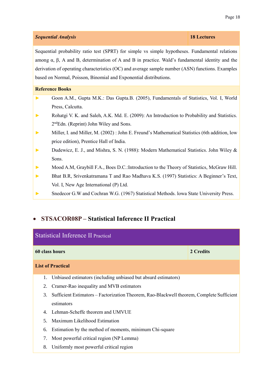#### *Sequential Analysis* **18 Lectures**

Sequential probability ratio test (SPRT) for simple vs simple hypotheses. Fundamental relations among  $\alpha$ ,  $\beta$ , A and B, determination of A and B in practice. Wald's fundamental identity and the derivation of operating characteristics (OC) and average sample number (ASN) functions. Examples based on Normal, Poisson, Binomial and Exponential distributions.

#### **Reference Books**

- **►** Goon A.M., Gupta M.K.: Das Gupta.B. (2005), Fundamentals of Statistics, Vol. I, World Press, Calcutta.
- **►** Rohatgi V. K. and Saleh, A.K. Md. E. (2009): An Introduction to Probability and Statistics. 2 ndEdn. (Reprint) John Wiley and Sons.
- **►** Miller, I. and Miller, M. (2002) : John E. Freund's Mathematical Statistics (6th addition, low price edition), Prentice Hall of India.
- **►** Dudewicz, E. J., and Mishra, S. N. (1988): Modern Mathematical Statistics. John Wiley & Sons.
- **►** Mood A.M, Graybill F.A., Boes D.C.:Introduction to the Theory of Statistics, McGraw Hill.
- **►** Bhat B.R, Srivenkatramana T and Rao Madhava K.S. (1997) Statistics: A Beginner's Text, Vol. I, New Age International (P) Ltd.
- **►** Snedecor G.W and Cochran W.G. (1967) Statistical Methods. lowa State University Press.

## <span id="page-18-0"></span>• **STSACOR08P – Statistical Inference II Practical**

| <b>Statistical Inference II Practical</b> |                                                                                           |  |  |
|-------------------------------------------|-------------------------------------------------------------------------------------------|--|--|
| 60 class hours<br>2 Credits               |                                                                                           |  |  |
|                                           | <b>List of Practical</b>                                                                  |  |  |
| 1.                                        | Unbiased estimators (including unbiased but absurd estimators)                            |  |  |
| 2.                                        | Cramer-Rao inequality and MVB estimators                                                  |  |  |
| 3.                                        | Sufficient Estimators – Factorization Theorem, Rao-Blackwell theorem, Complete Sufficient |  |  |
|                                           | estimators                                                                                |  |  |
| $\mathbf{4}_{1}$                          | Lehman-Scheffe theorem and UMVUE                                                          |  |  |
| .5.                                       | Maximum Likelihood Estimation                                                             |  |  |
| 6.                                        | Estimation by the method of moments, minimum Chi-square                                   |  |  |
| 7.                                        | Most powerful critical region (NP Lemma)                                                  |  |  |
| 8.                                        | Uniformly most powerful critical region                                                   |  |  |
|                                           |                                                                                           |  |  |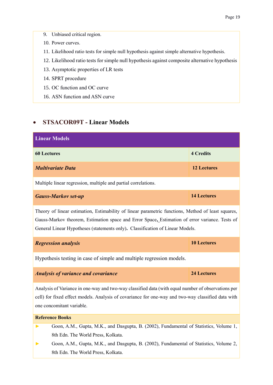- 9. Unbiased critical region.
- 10. Power curves.
- 11. Likelihood ratio tests for simple null hypothesis against simple alternative hypothesis.
- 12. Likelihood ratio tests for simple null hypothesis against composite alternative hypothesis
- 13. Asymptotic properties of LR tests
- 14. SPRT procedure
- 15. OC function and OC curve
- 16. ASN function and ASN curve

#### <span id="page-19-0"></span>• **STSACOR09T - Linear Models**

| <b>Linear Models</b>                                                                                                                                                                                                                                                                  |                    |  |
|---------------------------------------------------------------------------------------------------------------------------------------------------------------------------------------------------------------------------------------------------------------------------------------|--------------------|--|
| <b>60 Lectures</b>                                                                                                                                                                                                                                                                    | <b>4 Credits</b>   |  |
| <b>Multivariate Data</b>                                                                                                                                                                                                                                                              | <b>12 Lectures</b> |  |
| Multiple linear regression, multiple and partial correlations.                                                                                                                                                                                                                        |                    |  |
| <b>Gauss-Markov set-up</b>                                                                                                                                                                                                                                                            | <b>14 Lectures</b> |  |
| Theory of linear estimation, Estimability of linear parametric functions, Method of least squares,<br>Gauss-Markov theorem, Estimation space and Error Space, Estimation of error variance. Tests of<br>General Linear Hypotheses (statements only). Classification of Linear Models. |                    |  |
| <b>Regression analysis</b>                                                                                                                                                                                                                                                            | <b>10 Lectures</b> |  |
| Hypothesis testing in case of simple and multiple regression models.                                                                                                                                                                                                                  |                    |  |
| <b>Analysis of variance and covariance</b>                                                                                                                                                                                                                                            | <b>24 Lectures</b> |  |
| Analysis of Variance in one-way and two-way classified data (with equal number of observations per<br>cell) for fixed effect models. Analysis of covariance for one-way and two-way classified data with<br>one concomitant variable.                                                 |                    |  |
| <b>Reference Books</b>                                                                                                                                                                                                                                                                |                    |  |
| Goon, A.M., Gupta, M.K., and Dasgupta, B. (2002), Fundamental of Statistics, Volume 1,                                                                                                                                                                                                |                    |  |

8th Edn. The World Press, Kolkata.

**►** Goon, A.M., Gupta, M.K., and Dasgupta, B. (2002), Fundamental of Statistics, Volume 2, 8th Edn. The World Press, Kolkata.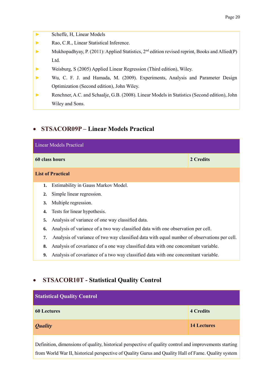- **►** Scheffe, H, Linear Models
- **►** Rao, C.R., Linear Statistical Inference.
- ► Mukhopadhyay, P. (2011): Applied Statistics, 2<sup>nd</sup> edition revised reprint, Books and Allied(P) Ltd.
- **►** Weisburg, S (2005) Applied Linear Regression (Third edition), Wiley.
- **►** Wu, C. F. J. and Hamada, M. (2009). Experiments, Analysis and Parameter Design Optimization (Second edition), John Wiley.
- **►** Renchner, A.C. and Schaalje, G.B. (2008). Linear Models in Statistics (Second edition), John Wiley and Sons.

### <span id="page-20-0"></span>• **STSACOR09P – Linear Models Practical**

| <b>Linear Models Practical</b> |                                                                                             |           |
|--------------------------------|---------------------------------------------------------------------------------------------|-----------|
|                                | 60 class hours                                                                              | 2 Credits |
|                                | <b>List of Practical</b>                                                                    |           |
| 1.                             | Estimability in Gauss Markov Model.                                                         |           |
| $\mathbf{2}$ .                 | Simple linear regression.                                                                   |           |
| 3.                             | Multiple regression.                                                                        |           |
| 4.                             | Tests for linear hypothesis.                                                                |           |
| 5.                             | Analysis of variance of one way classified data.                                            |           |
| 6.                             | Analysis of variance of a two way classified data with one observation per cell.            |           |
| 7.                             | Analysis of variance of two way classified data with equal number of observations per cell. |           |
| 8.                             | Analysis of covariance of a one way classified data with one concomitant variable.          |           |
| 9.                             | Analysis of covariance of a two way classified data with one concomitant variable.          |           |

## <span id="page-20-1"></span>• **STSACOR10T - Statistical Quality Control**

| <b>Statistical Quality Control</b> |                    |  |
|------------------------------------|--------------------|--|
| <b>60 Lectures</b>                 | <b>4 Credits</b>   |  |
| <b>Quality</b>                     | <b>14 Lectures</b> |  |

Definition, dimensions of quality, historical perspective of quality control and improvements starting from World War II, historical perspective of Quality Gurus and Quality Hall of Fame. Quality system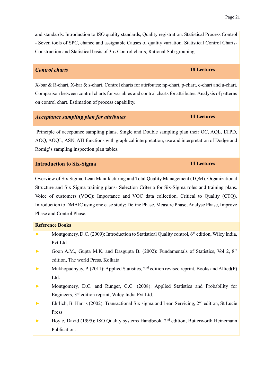and standards: Introduction to ISO quality standards, Quality registration. Statistical Process Control - Seven tools of SPC, chance and assignable Causes of quality variation. Statistical Control Charts-Construction and Statistical basis of 3-σ Control charts, Rational Sub-grouping.

#### *Control charts* **18 Lectures**

X-bar & R-chart, X-bar & s-chart. Control charts for attributes: np-chart, p-chart, c-chart and u-chart. Comparison between control charts for variables and control charts for attributes. Analysis of patterns on control chart. Estimation of process capability.

#### *Acceptance sampling plan for attributes* **14 Lectures**

Principle of acceptance sampling plans. Single and Double sampling plan their OC, AQL, LTPD, AOQ, AOQL, ASN, ATI functions with graphical interpretation, use and interpretation of Dodge and Romig's sampling inspection plan tables.

#### **Introduction to Six-Sigma 14 Lectures**

Overview of Six Sigma, Lean Manufacturing and Total Quality Management (TQM). Organizational Structure and Six Sigma training plans- Selection Criteria for Six-Sigma roles and training plans. Voice of customers (VOC): Importance and VOC data collection. Critical to Quality (CTQ). Introduction to DMAIC using one case study: Define Phase, Measure Phase, Analyse Phase, Improve Phase and Control Phase.

#### **Reference Books**

- ► Montgomery, D.C. (2009): Introduction to Statistical Quality control, 6<sup>th</sup> edition, Wiley India, Pvt Ltd
- ► Goon A.M., Gupta M.K. and Dasgupta B. (2002): Fundamentals of Statistics, Vol 2, 8<sup>th</sup> edition, The world Press, Kolkata
- ► Mukhopadhyay, P. (2011): Applied Statistics, 2<sup>nd</sup> edition revised reprint, Books and Allied(P) Ltd.
- **►** Montgomery, D.C. and Runger, G.C. (2008): Applied Statistics and Probability for Engineers, 3rd edition reprint, Wiley India Pvt Ltd.
- ► Ehrlich, B. Harris (2002): Transactional Six sigma and Lean Servicing, 2<sup>nd</sup> edition, St Lucie Press
- ► Hoyle, David (1995): ISO Quality systems Handbook, 2<sup>nd</sup> edition, Butterworth Heinemann Publication.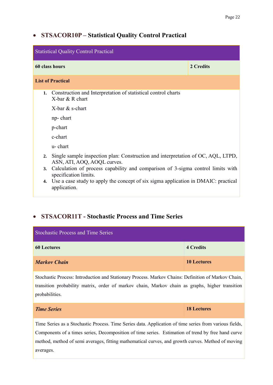## <span id="page-22-0"></span>• **STSACOR10P – Statistical Quality Control Practical**

| <b>Statistical Quality Control Practical</b> |                                                                                                                 |           |  |
|----------------------------------------------|-----------------------------------------------------------------------------------------------------------------|-----------|--|
|                                              | 60 class hours                                                                                                  | 2 Credits |  |
| <b>List of Practical</b>                     |                                                                                                                 |           |  |
| 1.                                           | Construction and Interpretation of statistical control charts<br>X-bar & R chart                                |           |  |
|                                              | X-bar & s-chart                                                                                                 |           |  |
|                                              | np-chart                                                                                                        |           |  |
|                                              | p-chart                                                                                                         |           |  |
|                                              | c-chart                                                                                                         |           |  |
|                                              | u-chart                                                                                                         |           |  |
| 2.                                           | Single sample inspection plan: Construction and interpretation of OC, AQL, LTPD,<br>ASN, ATI, AOQ, AOQL curves. |           |  |
|                                              | 3. Calculation of process capability and comparison of 3-sigma control limits with<br>specification limits.     |           |  |
| 4.                                           | Use a case study to apply the concept of six sigma application in DMAIC: practical<br>application.              |           |  |

## <span id="page-22-1"></span>• **STSACOR11T - Stochastic Process and Time Series**

| <b>Stochastic Process and Time Series</b> |                    |
|-------------------------------------------|--------------------|
| <b>60 Lectures</b>                        | <b>4 Credits</b>   |
| <b>Markov Chain</b>                       | <b>10 Lectures</b> |

Stochastic Process: Introduction and Stationary Process. Markov Chains: Definition of Markov Chain, transition probability matrix, order of markov chain, Markov chain as graphs, higher transition probabilities.

| <b>Time Series</b> | <b>18 Lectures</b> |
|--------------------|--------------------|
|                    |                    |

Time Series as a Stochastic Process. Time Series data. Application of time series from various fields, Components of a times series, Decomposition of time series. Estimation of trend by free hand curve method, method of semi averages, fitting mathematical curves, and growth curves. Method of moving averages.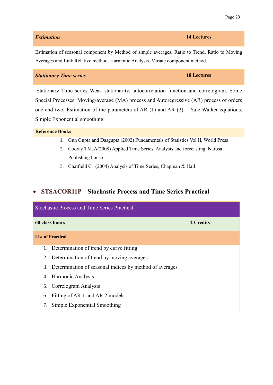| <b>Estimation</b> | 14 Lectures |
|-------------------|-------------|
|                   |             |

Estimation of seasonal component by Method of simple averages, Ratio to Trend, Ratio to Moving Averages and Link Relative method. Harmonic Analysis. Variate component method.

#### *Stationary Time series* **18 Lectures**

Stationary Time series Weak stationarity, autocorrelation function and correlogram. Some Special Processes: Moving-average (MA) process and Autoregressive (AR) process of orders one and two, Estimation of the parameters of AR  $(1)$  and AR  $(2)$  – Yule-Walker equations. Simple Exponential smoothing.

#### **Reference Books**

- 1. Gun Gupta and Dasgupta (2002) Fundamentals of Statistics Vol II, World Press
- 2. Cooray TMJA(2008) Applied Time Series, Analysis and forecasting, Narosa Publishing house
- 3. Chatfield C (2004) Analysis of Time Series, Chapman & Hall

## <span id="page-23-0"></span>• **STSACOR11P – Stochastic Process and Time Series Practical**

| <b>Stochastic Process and Time Series Practical</b>        |           |  |
|------------------------------------------------------------|-----------|--|
| 60 class hours                                             | 2 Credits |  |
| <b>List of Practical</b>                                   |           |  |
| 1. Determination of trend by curve fitting                 |           |  |
| 2. Determination of trend by moving averages               |           |  |
| 3. Determination of seasonal indices by method of averages |           |  |
| 4. Harmonic Analysis                                       |           |  |
| 5. Correlogram Analysis                                    |           |  |
| 6. Fitting of AR 1 and AR 2 models                         |           |  |
| Simple Exponential Smoothing                               |           |  |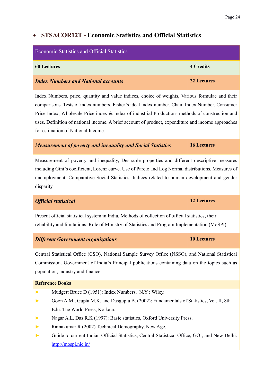### <span id="page-24-0"></span>• **STSACOR12T - Economic Statistics and Official Statistics**

| Economic Statistics and Official Statistics |             |  |
|---------------------------------------------|-------------|--|
| <b>60 Lectures</b>                          | 4 Credits   |  |
| <b>Index Numbers and National accounts</b>  | 22 Lectures |  |

Index Numbers, price, quantity and value indices, choice of weights, Various formulae and their comparisons. Tests of index numbers. Fisher's ideal index number. Chain Index Number. Consumer Price Index, Wholesale Price index & Index of industrial Production- methods of construction and uses. Definition of national income. A brief account of product, expenditure and income approaches for estimation of National Income.

#### *Measurement of poverty and inequality and Social Statistics* **16 Lectures**

Measurement of poverty and inequality, Desirable properties and different descriptive measures including Gini's coefficient, Lorenz curve. Use of Pareto and Log Normal distributions. Measures of unemployment. Comparative Social Statistics, Indices related to human development and gender disparity.

#### *Official statistical* **12 Lectures**

Present official statistical system in India, Methods of collection of official statistics, their reliability and limitations. Role of Ministry of Statistics and Program Implementation (MoSPI).

#### *Different Government organizations* **10 Lectures**

Central Statistical Office (CSO), National Sample Survey Office (NSSO), and National Statistical Commission. Government of India's Principal publications containing data on the topics such as population, industry and finance.

#### **Reference Books**

- **►** Mudgett Bruce D (1951): Index Numbers, N.Y : Wiley.
- **►** Goon A.M., Gupta M.K. and Dasgupta B. (2002): Fundamentals of Statistics, Vol. II, 8th Edn. The World Press, Kolkata.
- **►** Nagar A.L, Das R.K (1997): Basic statistics, Oxford University Press.
- **►** Ramakumar R (2002) Technical Demography, New Age.
- **►** Guide to current Indian Official Statistics, Central Statistical Office, GOI, and New Delhi. <http://mospi.nic.in/>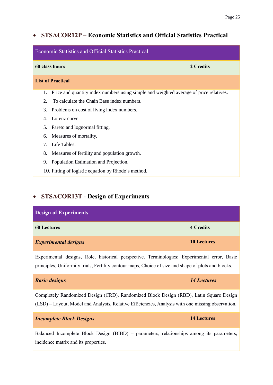### <span id="page-25-0"></span>• **STSACOR12P – Economic Statistics and Official Statistics Practical**

| <b>Economic Statistics and Official Statistics Practical</b>                                 |           |  |
|----------------------------------------------------------------------------------------------|-----------|--|
| 60 class hours                                                                               | 2 Credits |  |
| <b>List of Practical</b>                                                                     |           |  |
| Price and quantity index numbers using simple and weighted average of price relatives.<br>1. |           |  |
| 2.<br>To calculate the Chain Base index numbers.                                             |           |  |
| 3.<br>Problems on cost of living index numbers.                                              |           |  |
| Lorenz curve.<br>4.                                                                          |           |  |
| Pareto and lognormal fitting.<br>5.                                                          |           |  |
| Measures of mortality.<br>6.                                                                 |           |  |
| $7_{\scriptscriptstyle{\ddots}}$<br>Life Tables.                                             |           |  |
| 8.<br>Measures of fertility and population growth.                                           |           |  |
| 9.<br>Population Estimation and Projection.                                                  |           |  |
| 10. Fitting of logistic equation by Rhode's method.                                          |           |  |

## <span id="page-25-1"></span>• **STSACOR13T** - **Design of Experiments**

| <b>Design of Experiments</b> |                    |
|------------------------------|--------------------|
| <b>60 Lectures</b>           | <b>4 Credits</b>   |
| <b>Experimental designs</b>  | <b>10 Lectures</b> |

Experimental designs, Role, historical perspective. Terminologies: Experimental error, Basic principles, Uniformity trials, Fertility contour maps, Choice of size and shape of plots and blocks.

| <b>Basic designs</b>                                                                                                                                                                        | 14 Lectures |  |  |
|---------------------------------------------------------------------------------------------------------------------------------------------------------------------------------------------|-------------|--|--|
| Completely Randomized Design (CRD), Randomized Block Design (RBD), Latin Square Design<br>(LSD) – Layout, Model and Analysis, Relative Efficiencies, Analysis with one missing observation. |             |  |  |
| <b>14 Lectures</b><br><b>Incomplete Block Designs</b>                                                                                                                                       |             |  |  |
| Balanced Incomplete Block Design (BIBD) – parameters relationships among its parameters                                                                                                     |             |  |  |

Block Design (BIBD) – parameters, relationships among its parameters, incidence matrix and its properties.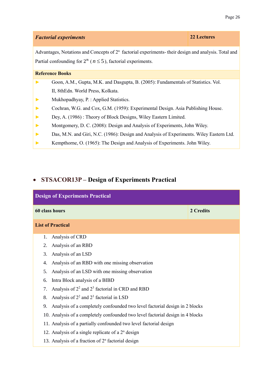#### *Factorial experiments* **22 Lectures**

Advantages, Notations and Concepts of 2<sup>n</sup> factorial experiments- their design and analysis. Total and Partial confounding for  $2^n$  ( $n \leq 5$ ), factorial experiments.

#### **Reference Books**

- Goon, A.M., Gupta, M.K. and Dasgupta, B. (2005): Fundamentals of Statistics. Vol. II, 8thEdn. World Press, Kolkata.
- **►** Mukhopadhyay, P. : Applied Statistics.
- **►** Cochran, W.G. and Cox, G.M. (1959): Experimental Design. Asia Publishing House.
- **►** Dey, A. (1986) : Theory of Block Designs, Wiley Eastern Limited.
- **►** Montgomery, D. C. (2008): Design and Analysis of Experiments, John Wiley.
- **►** Das, M.N. and Giri, N.C. (1986): Design and Analysis of Experiments. Wiley Eastern Ltd.
- **►** Kempthorne, O. (1965): The Design and Analysis of Experiments. John Wiley.

### <span id="page-26-0"></span>• **STSACOR13P – Design of Experiments Practical**

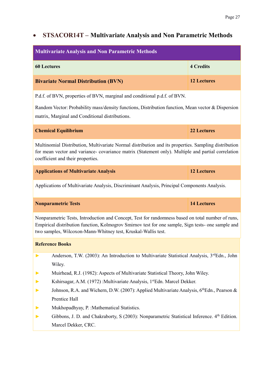## <span id="page-27-0"></span>• **STSACOR14T – Multivariate Analysis and Non Parametric Methods**

| <b>4 Credits</b><br><b>60 Lectures</b><br><b>12 Lectures</b><br><b>Bivariate Normal Distribution (BVN)</b><br>P.d.f. of BVN, properties of BVN, marginal and conditional p.d.f. of BVN.<br>Random Vector: Probability mass/density functions, Distribution function, Mean vector & Dispersion<br>matrix, Marginal and Conditional distributions.<br><b>Chemical Equilibrium</b><br><b>22 Lectures</b><br>Multinomial Distribution, Multivariate Normal distribution and its properties. Sampling distribution<br>for mean vector and variance- covariance matrix (Statement only). Multiple and partial correlation<br>coefficient and their properties.<br><b>12 Lectures</b><br><b>Applications of Multivariate Analysis</b><br>Applications of Multivariate Analysis, Discriminant Analysis, Principal Components Analysis.<br><b>14 Lectures</b><br><b>Nonparametric Tests</b><br>Nonparametric Tests, Introduction and Concept, Test for randomness based on total number of runs,<br>Empirical distribution function, Kolmogrov Smirnov test for one sample, Sign tests- one sample and<br>two samples, Wilcoxon-Mann-Whitney test, Kruskal-Wallis test.<br><b>Reference Books</b><br>Anderson, T.W. (2003): An Introduction to Multivariate Statistical Analysis, 3 <sup>rd</sup> Edn., John<br>Wiley.<br>Muirhead, R.J. (1982): Aspects of Multivariate Statistical Theory, John Wiley.<br>Kshirsagar, A.M. (1972): Multivariate Analysis, 1stEdn. Marcel Dekker.<br>Johnson, R.A. and Wichern, D.W. (2007): Applied Multivariate Analysis, 6th Edn., Pearson &<br>Prentice Hall<br>Mukhopadhyay, P. : Mathematical Statistics.<br>Gibbons, J. D. and Chakraborty, S (2003): Nonparametric Statistical Inference. 4 <sup>th</sup> Edition.<br>Marcel Dekker, CRC. | <b>Multivariate Analysis and Non Parametric Methods</b> |  |  |
|---------------------------------------------------------------------------------------------------------------------------------------------------------------------------------------------------------------------------------------------------------------------------------------------------------------------------------------------------------------------------------------------------------------------------------------------------------------------------------------------------------------------------------------------------------------------------------------------------------------------------------------------------------------------------------------------------------------------------------------------------------------------------------------------------------------------------------------------------------------------------------------------------------------------------------------------------------------------------------------------------------------------------------------------------------------------------------------------------------------------------------------------------------------------------------------------------------------------------------------------------------------------------------------------------------------------------------------------------------------------------------------------------------------------------------------------------------------------------------------------------------------------------------------------------------------------------------------------------------------------------------------------------------------------------------------------------------------------------------------------------------------------------|---------------------------------------------------------|--|--|
|                                                                                                                                                                                                                                                                                                                                                                                                                                                                                                                                                                                                                                                                                                                                                                                                                                                                                                                                                                                                                                                                                                                                                                                                                                                                                                                                                                                                                                                                                                                                                                                                                                                                                                                                                                           |                                                         |  |  |
|                                                                                                                                                                                                                                                                                                                                                                                                                                                                                                                                                                                                                                                                                                                                                                                                                                                                                                                                                                                                                                                                                                                                                                                                                                                                                                                                                                                                                                                                                                                                                                                                                                                                                                                                                                           |                                                         |  |  |
|                                                                                                                                                                                                                                                                                                                                                                                                                                                                                                                                                                                                                                                                                                                                                                                                                                                                                                                                                                                                                                                                                                                                                                                                                                                                                                                                                                                                                                                                                                                                                                                                                                                                                                                                                                           |                                                         |  |  |
|                                                                                                                                                                                                                                                                                                                                                                                                                                                                                                                                                                                                                                                                                                                                                                                                                                                                                                                                                                                                                                                                                                                                                                                                                                                                                                                                                                                                                                                                                                                                                                                                                                                                                                                                                                           |                                                         |  |  |
|                                                                                                                                                                                                                                                                                                                                                                                                                                                                                                                                                                                                                                                                                                                                                                                                                                                                                                                                                                                                                                                                                                                                                                                                                                                                                                                                                                                                                                                                                                                                                                                                                                                                                                                                                                           |                                                         |  |  |
|                                                                                                                                                                                                                                                                                                                                                                                                                                                                                                                                                                                                                                                                                                                                                                                                                                                                                                                                                                                                                                                                                                                                                                                                                                                                                                                                                                                                                                                                                                                                                                                                                                                                                                                                                                           |                                                         |  |  |
|                                                                                                                                                                                                                                                                                                                                                                                                                                                                                                                                                                                                                                                                                                                                                                                                                                                                                                                                                                                                                                                                                                                                                                                                                                                                                                                                                                                                                                                                                                                                                                                                                                                                                                                                                                           |                                                         |  |  |
|                                                                                                                                                                                                                                                                                                                                                                                                                                                                                                                                                                                                                                                                                                                                                                                                                                                                                                                                                                                                                                                                                                                                                                                                                                                                                                                                                                                                                                                                                                                                                                                                                                                                                                                                                                           |                                                         |  |  |
|                                                                                                                                                                                                                                                                                                                                                                                                                                                                                                                                                                                                                                                                                                                                                                                                                                                                                                                                                                                                                                                                                                                                                                                                                                                                                                                                                                                                                                                                                                                                                                                                                                                                                                                                                                           |                                                         |  |  |
|                                                                                                                                                                                                                                                                                                                                                                                                                                                                                                                                                                                                                                                                                                                                                                                                                                                                                                                                                                                                                                                                                                                                                                                                                                                                                                                                                                                                                                                                                                                                                                                                                                                                                                                                                                           |                                                         |  |  |
|                                                                                                                                                                                                                                                                                                                                                                                                                                                                                                                                                                                                                                                                                                                                                                                                                                                                                                                                                                                                                                                                                                                                                                                                                                                                                                                                                                                                                                                                                                                                                                                                                                                                                                                                                                           |                                                         |  |  |
|                                                                                                                                                                                                                                                                                                                                                                                                                                                                                                                                                                                                                                                                                                                                                                                                                                                                                                                                                                                                                                                                                                                                                                                                                                                                                                                                                                                                                                                                                                                                                                                                                                                                                                                                                                           |                                                         |  |  |
|                                                                                                                                                                                                                                                                                                                                                                                                                                                                                                                                                                                                                                                                                                                                                                                                                                                                                                                                                                                                                                                                                                                                                                                                                                                                                                                                                                                                                                                                                                                                                                                                                                                                                                                                                                           |                                                         |  |  |
|                                                                                                                                                                                                                                                                                                                                                                                                                                                                                                                                                                                                                                                                                                                                                                                                                                                                                                                                                                                                                                                                                                                                                                                                                                                                                                                                                                                                                                                                                                                                                                                                                                                                                                                                                                           |                                                         |  |  |
|                                                                                                                                                                                                                                                                                                                                                                                                                                                                                                                                                                                                                                                                                                                                                                                                                                                                                                                                                                                                                                                                                                                                                                                                                                                                                                                                                                                                                                                                                                                                                                                                                                                                                                                                                                           |                                                         |  |  |
|                                                                                                                                                                                                                                                                                                                                                                                                                                                                                                                                                                                                                                                                                                                                                                                                                                                                                                                                                                                                                                                                                                                                                                                                                                                                                                                                                                                                                                                                                                                                                                                                                                                                                                                                                                           |                                                         |  |  |
|                                                                                                                                                                                                                                                                                                                                                                                                                                                                                                                                                                                                                                                                                                                                                                                                                                                                                                                                                                                                                                                                                                                                                                                                                                                                                                                                                                                                                                                                                                                                                                                                                                                                                                                                                                           |                                                         |  |  |
|                                                                                                                                                                                                                                                                                                                                                                                                                                                                                                                                                                                                                                                                                                                                                                                                                                                                                                                                                                                                                                                                                                                                                                                                                                                                                                                                                                                                                                                                                                                                                                                                                                                                                                                                                                           |                                                         |  |  |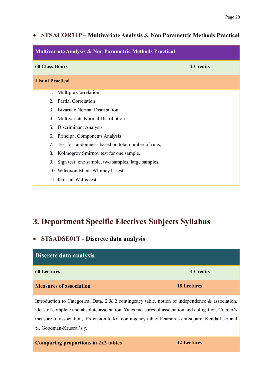### <span id="page-28-0"></span>• **STSACOR14P – Multivariate Analysis & Non Parametric Methods Practical**

| <b>Multivariate Analysis &amp; Non Parametric Methods Practical</b> |           |  |
|---------------------------------------------------------------------|-----------|--|
| <b>60 Class Hours</b>                                               | 2 Credits |  |
| <b>List of Practical</b>                                            |           |  |
| Multiple Correlation<br>1.                                          |           |  |
| <b>Partial Correlation</b><br>$2^{\circ}$                           |           |  |
| Bivariate Normal Distribution,<br>3.                                |           |  |
| Multivariate Normal Distribution<br>4.                              |           |  |
| Discriminant Analysis<br>5.                                         |           |  |
| Principal Components Analysis<br>6.                                 |           |  |
| Test for randomness based on total number of runs,<br>7.            |           |  |
| Kolmogrov Smirnov test for one sample.<br>8.                        |           |  |
| Sign test: one sample, two samples, large samples.<br>9.            |           |  |
| 10. Wilcoxon-Mann-Whitney U-test                                    |           |  |
| 11. Kruskal-Wallis test                                             |           |  |

## <span id="page-28-1"></span>**3. Department Specific Electives Subjects Syllabus**

### <span id="page-28-2"></span>• **STSADSE01T** - **Discrete data analysis**

| Discrete data analysis         |                    |
|--------------------------------|--------------------|
| <b>60 Lectures</b>             | <b>4 Credits</b>   |
| <b>Measures of association</b> | <b>18 Lectures</b> |

Introduction to Categorical Data, 2 X 2 contingency table, notion of independence & association, ideas of complete and absolute association. Yules measures of association and colligation, Cramer's measure of association, Extension to kxl contingency table: Pearson's chi-square, Kendall's  $\tau$  and b, Goodman-Kruscal's γ.

| <b>Comparing proportions in 2x2 tables</b> |  |  |
|--------------------------------------------|--|--|
|                                            |  |  |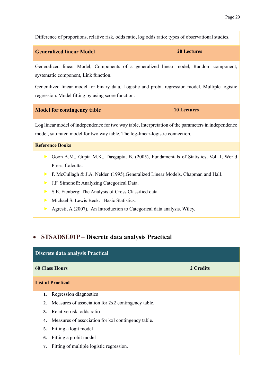Difference of proportions, relative risk, odds ratio, log odds ratio; types of observational studies.

#### **Generalized linear Model 20 Lectures**

Generalized linear Model, Components of a generalized linear model, Random component, systematic component, Link function.

Generalized linear model for binary data, Logistic and probit regression model, Multiple logistic regression. Model fitting by using score function.

#### **Model for contingency table 10 Lectures**

Log linear model of independence for two way table, Interpretation of the parameters in independence model, saturated model for two way table. The log-linear-logistic connection.

#### **Reference Books**

- Goon A.M., Gupta M.K., Dasgupta, B. (2005), Fundamentals of Statistics, Vol II, World Press, Calcutta.
- P. McCullagh & J.A. Nelder. (1995), Generalized Linear Models. Chapman and Hall.
- J.F. Simonoff: Analyzing Categorical Data.
- S.E. Fienberg: The Analysis of Cross Classified data
- Michael S. Lewis Beck. : Basic Statistics.
- Agresti, A.(2007), An Introduction to Categorical data analysis. Wiley.

#### <span id="page-29-0"></span>• **STSADSE01P** – **Discrete data analysis Practical**

| Discrete data analysis Practical |                                                       |           |
|----------------------------------|-------------------------------------------------------|-----------|
|                                  | <b>60 Class Hours</b>                                 | 2 Credits |
|                                  | <b>List of Practical</b>                              |           |
|                                  | 1. Regression diagnostics                             |           |
|                                  | 2. Measures of association for 2x2 contingency table. |           |
|                                  | 3. Relative risk, odds ratio                          |           |
| 4.                               | Measures of association for kxl contingency table.    |           |
| 5.                               | Fitting a logit model                                 |           |
| 6.                               | Fitting a probit model                                |           |
| 7.                               | Fitting of multiple logistic regression.              |           |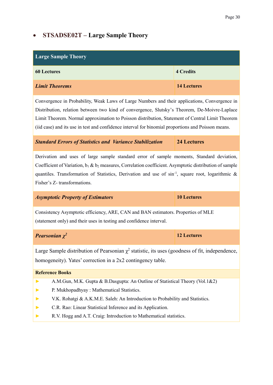## <span id="page-30-0"></span>• **STSADSE02T – Large Sample Theory**

| <b>Large Sample Theory</b>                                                                                                                                                                                                                                                                                                                                                                             |                    |  |  |  |
|--------------------------------------------------------------------------------------------------------------------------------------------------------------------------------------------------------------------------------------------------------------------------------------------------------------------------------------------------------------------------------------------------------|--------------------|--|--|--|
| <b>4 Credits</b><br><b>60 Lectures</b>                                                                                                                                                                                                                                                                                                                                                                 |                    |  |  |  |
| <b>Limit Theorems</b>                                                                                                                                                                                                                                                                                                                                                                                  | <b>14 Lectures</b> |  |  |  |
| Convergence in Probability, Weak Laws of Large Numbers and their applications, Convergence in<br>Distribution, relation between two kind of convergence, Slutsky's Theorem, De-Moivre-Laplace<br>Limit Theorem. Normal approximation to Poisson distribution, Statement of Central Limit Theorem<br>(iid case) and its use in test and confidence interval for binomial proportions and Poisson means. |                    |  |  |  |
| <b>Standard Errors of Statistics and Variance Stabilization</b>                                                                                                                                                                                                                                                                                                                                        | <b>24 Lectures</b> |  |  |  |
| Derivation and uses of large sample standard error of sample moments, Standard deviation,<br>Coefficient of Variation, $b_1 \& b_2$ measures, Correlation coefficient. Asymptotic distribution of sample<br>quantiles. Transformation of Statistics, Derivation and use of sin <sup>-1</sup> , square root, logarithmic &<br>Fisher's Z-transformations.                                               |                    |  |  |  |
| <b>Asymptotic Property of Estimators</b>                                                                                                                                                                                                                                                                                                                                                               | <b>10 Lectures</b> |  |  |  |
| Consistency Asymptotic efficiency, ARE, CAN and BAN estimators. Properties of MLE<br>(statement only) and their uses in testing and confidence interval.                                                                                                                                                                                                                                               |                    |  |  |  |
| Pearsonian $\chi^2$                                                                                                                                                                                                                                                                                                                                                                                    | <b>12 Lectures</b> |  |  |  |
| Large Sample distribution of Pearsonian $\chi^2$ statistic, its uses (goodness of fit, independence,<br>homogeneity). Yates' correction in a 2x2 contingency table.                                                                                                                                                                                                                                    |                    |  |  |  |
| <b>Reference Books</b>                                                                                                                                                                                                                                                                                                                                                                                 |                    |  |  |  |
| A.M.Gun, M.K. Gupta & B.Dasgupta: An Outline of Statistical Theory (Vol.1&2)<br>$\blacktriangleright$<br>P. Mukhopadhyay : Mathematical Statistics.<br>V.K. Rohatgi & A.K.M.E. Saleh: An Introduction to Probability and Statistics.<br>C.R. Rao: Linear Statistical Inference and its Application.<br>R.V. Hogg and A.T. Craig: Introduction to Mathematical statistics.<br>▶                         |                    |  |  |  |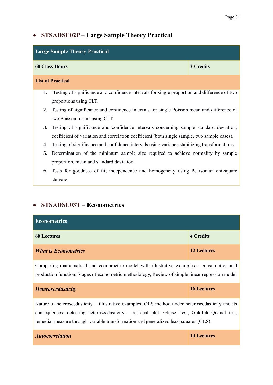#### Page 31

## • **STSADSE02P** – **Large Sample Theory Practical**

| <b>Large Sample Theory Practical</b> |                                                                                              |           |
|--------------------------------------|----------------------------------------------------------------------------------------------|-----------|
|                                      | <b>60 Class Hours</b>                                                                        | 2 Credits |
|                                      | <b>List of Practical</b>                                                                     |           |
| 1.                                   | Testing of significance and confidence intervals for single proportion and difference of two |           |
|                                      | proportions using CLT.                                                                       |           |
| 2.                                   | Testing of significance and confidence intervals for single Poisson mean and difference of   |           |
|                                      | two Poisson means using CLT.                                                                 |           |
| 3.                                   | Testing of significance and confidence intervals concerning sample standard deviation,       |           |
|                                      | coefficient of variation and correlation coefficient (both single sample, two sample cases). |           |
| 4.                                   | Testing of significance and confidence intervals using variance stabilizing transformations. |           |
| 5.                                   | Determination of the minimum sample size required to achieve normality by sample             |           |
|                                      | proportion, mean and standard deviation.                                                     |           |
| 6.                                   | Tests for goodness of fit, independence and homogeneity using Pearsonian chi-square          |           |
|                                      | statistic.                                                                                   |           |

## • **STSADSE03T** – **Econometrics**

| <b>Econometrics</b>         |                    |
|-----------------------------|--------------------|
| <b>60 Lectures</b>          | <b>4 Credits</b>   |
| <b>What is Econometrics</b> | <b>12 Lectures</b> |

Comparing mathematical and econometric model with illustrative examples – consumption and production function. Stages of econometric methodology, Review of simple linear regression model

| <b>Heteroscedasticity</b>                                                                         | 16 Lectures |
|---------------------------------------------------------------------------------------------------|-------------|
| Nature of heteroscedasticity - illustrative examples, OLS method under heteroscedasticity and its |             |
| consequences, detecting heteroscedasticity – residual plot, Glejser test, Goldfeld-Quandt test,   |             |

| <b>Autocorrelation</b> | 14 Lectures |
|------------------------|-------------|
|                        |             |

remedial measure through variable transformation and generalized least squares (GLS).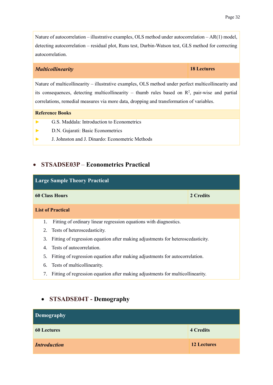Nature of autocorrelation – illustrative examples, OLS method under autocorrelation – AR(1) model, detecting autocorrelation – residual plot, Runs test, Durbin-Watson test, GLS method for correcting autocorrelation.

#### *Multicollinearity* **18 Lectures**

Nature of multicollinearity – illustrative examples, OLS method under perfect multicollinearity and its consequences, detecting multicollinearity – thumb rules based on  $\mathbb{R}^2$ , pair-wise and partial correlations, remedial measures via more data, dropping and transformation of variables.

#### **Reference Books**

- **►** G.S. Maddala: Introduction to Econometrics
- **►** D.N. Gujarati: Basic Econometrics
- **►** J. Johnston and J. Dinardo: Econometric Methods

#### • **STSADSE03P** – **Econometrics Practical**

| <b>Large Sample Theory Practical</b>                                                  |                                                                                   |           |
|---------------------------------------------------------------------------------------|-----------------------------------------------------------------------------------|-----------|
|                                                                                       | <b>60 Class Hours</b>                                                             | 2 Credits |
|                                                                                       | <b>List of Practical</b>                                                          |           |
| 1.                                                                                    | Fitting of ordinary linear regression equations with diagnostics.                 |           |
|                                                                                       | 2. Tests of heteroscedasticity.                                                   |           |
| Fitting of regression equation after making adjustments for heteroscedasticity.<br>3. |                                                                                   |           |
| 4. Tests of autocorrelation.                                                          |                                                                                   |           |
| 5.                                                                                    | Fitting of regression equation after making adjustments for autocorrelation.      |           |
|                                                                                       | 6. Tests of multicollinearity.                                                    |           |
|                                                                                       | 7. Fitting of regression equation after making adjustments for multicollinearity. |           |

### <span id="page-32-0"></span>• **STSADSE04T - Demography**

| Demography          |                    |
|---------------------|--------------------|
| <b>60 Lectures</b>  | <b>4 Credits</b>   |
| <b>Introduction</b> | <b>12 Lectures</b> |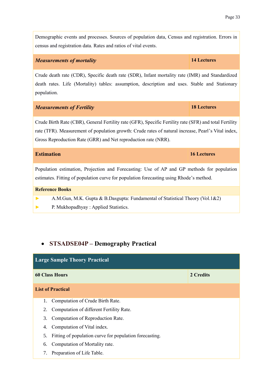Demographic events and processes. Sources of population data, Census and registration. Errors in census and registration data. Rates and ratios of vital events.

#### *Measurements of mortality* **14 Lectures**

Crude death rate (CDR), Specific death rate (SDR), Infant mortality rate (IMR) and Standardized death rates. Life (Mortality) tables: assumption, description and uses. Stable and Stationary population.

#### *Measurements of Fertility* **18 Lectures**

Crude Birth Rate (CBR), General Fertility rate (GFR), Specific Fertility rate (SFR) and total Fertility rate (TFR). Measurement of population growth: Crude rates of natural increase, Pearl's Vital index, Gross Reproduction Rate (GRR) and Net reproduction rate (NRR).

#### **Estimation 16 Lectures**

Population estimation, Projection and Forecasting: Use of AP and GP methods for population estimates. Fitting of population curve for population forecasting using Rhode's method.

#### **Reference Books**

**►** A.M.Gun, M.K. Gupta & B.Dasgupta: Fundamental of Statistical Theory (Vol.1&2)

**►** P. Mukhopadhyay : Applied Statistics.

## • **STSADSE04P – Demography Practical**

| <b>Large Sample Theory Practical</b>                          |           |
|---------------------------------------------------------------|-----------|
| <b>60 Class Hours</b>                                         | 2 Credits |
| <b>List of Practical</b>                                      |           |
| Computation of Crude Birth Rate.<br>1.                        |           |
| Computation of different Fertility Rate.<br>2.                |           |
| Computation of Reproduction Rate.<br>3.                       |           |
| Computation of Vital index.<br>4.                             |           |
| Fitting of population curve for population forecasting.<br>5. |           |
| Computation of Mortality rate.<br>6.                          |           |
| Preparation of Life Table.<br>7.                              |           |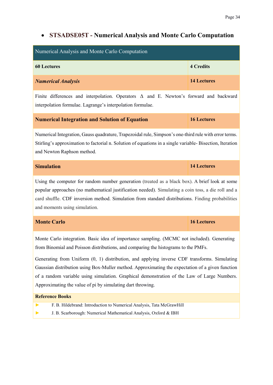### <span id="page-34-0"></span>• **STSADSE05T - Numerical Analysis and Monte Carlo Computation**

| Numerical Analysis and Monte Carlo Computation                                                |                    |
|-----------------------------------------------------------------------------------------------|--------------------|
| <b>60 Lectures</b>                                                                            | <b>4 Credits</b>   |
| <b>Numerical Analysis</b>                                                                     | <b>14 Lectures</b> |
| Finite differences and interpolation. Operators $\Delta$ and E. Newton's forward and backward |                    |

**Numerical Integration and Solution of Equation 16 Lectures**

interpolation formulae. Lagrange's interpolation formulae.

Numerical Integration, Gauss quadrature, Trapezoidal rule, Simpson's one-third rule with error terms. Stirling's approximation to factorial n. Solution of equations in a single variable- Bisection, Iteration and Newton Raphson method.

| <b>Simulation</b> | 14 Lectures |
|-------------------|-------------|
|                   |             |

Using the computer for random number generation (treated as a black box). A brief look at some popular approaches (no mathematical justification needed). Simulating a coin toss, a die roll and a card shuffle. CDF inversion method. Simulation from standard distributions. Finding probabilities and moments using simulation.

| <b>Monte Carlo</b> | 16 Lectures |
|--------------------|-------------|
|                    |             |

Monte Carlo integration. Basic idea of importance sampling. (MCMC not included). Generating from Binomial and Poisson distributions, and comparing the histograms to the PMFs.

Generating from Uniform (0, 1) distribution, and applying inverse CDF transforms. Simulating Gaussian distribution using Box-Muller method. Approximating the expectation of a given function of a random variable using simulation. Graphical demonstration of the Law of Large Numbers. Approximating the value of pi by simulating dart throwing.

#### **Reference Books**

- **►** F. B. Hildebrand: Introduction to Numerical Analysis, Tata McGrawHill
- **►** J. B. Scarborough: Numerical Mathematical Analysis, Oxford & IBH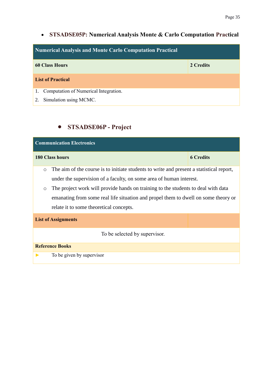## • **STSADSE05P: Numerical Analysis Monte & Carlo Computation Practical**

| Numerical Analysis and Monte Carlo Computation Practical |           |
|----------------------------------------------------------|-----------|
| <b>60 Class Hours</b>                                    | 2 Credits |
| <b>List of Practical</b>                                 |           |
| 1. Computation of Numerical Integration.                 |           |
| Simulation using MCMC.<br>2.                             |           |

## <span id="page-35-0"></span>• **STSADSE06P - Project**

| <b>Communication Electronics</b>                                                                                                                                                                                                                                                                                                                                                                            |                  |  |
|-------------------------------------------------------------------------------------------------------------------------------------------------------------------------------------------------------------------------------------------------------------------------------------------------------------------------------------------------------------------------------------------------------------|------------------|--|
| <b>180 Class hours</b>                                                                                                                                                                                                                                                                                                                                                                                      | <b>6 Credits</b> |  |
| The aim of the course is to initiate students to write and present a statistical report,<br>$\circ$<br>under the supervision of a faculty, on some area of human interest.<br>The project work will provide hands on training to the students to deal with data<br>$\circ$<br>emanating from some real life situation and propel them to dwell on some theory or<br>relate it to some theoretical concepts. |                  |  |
| <b>List of Assignments</b>                                                                                                                                                                                                                                                                                                                                                                                  |                  |  |
| To be selected by supervisor.                                                                                                                                                                                                                                                                                                                                                                               |                  |  |
| <b>Reference Books</b>                                                                                                                                                                                                                                                                                                                                                                                      |                  |  |
| To be given by supervisor                                                                                                                                                                                                                                                                                                                                                                                   |                  |  |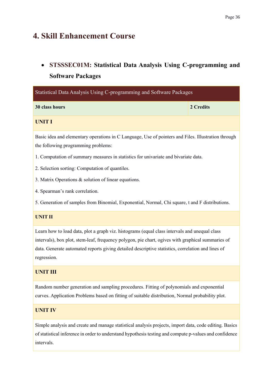## <span id="page-36-0"></span>**4. Skill Enhancement Course**

## <span id="page-36-1"></span>• **STSSSEC01M: Statistical Data Analysis Using C-programming and Software Packages**

| Statistical Data Analysis Using C-programming and Software Packages |           |
|---------------------------------------------------------------------|-----------|
| 30 class hours                                                      | 2 Credits |
| UNIT I                                                              |           |

Basic idea and elementary operations in C Language, Use of pointers and Files. Illustration through the following programming problems:

- 1. Computation of summary measures in statistics for univariate and bivariate data.
- 2. Selection sorting: Computation of quantiles.
- 3. Matrix Operations & solution of linear equations.
- 4. Spearman's rank correlation.

5. Generation of samples from Binomial, Exponential, Normal, Chi square, t and F distributions.

#### **UNIT II**

Learn how to load data, plot a graph viz. histograms (equal class intervals and unequal class intervals), box plot, stem-leaf, frequency polygon, pie chart, ogives with graphical summaries of data. Generate automated reports giving detailed descriptive statistics, correlation and lines of regression.

#### **UNIT III**

Random number generation and sampling procedures. Fitting of polynomials and exponential curves. Application Problems based on fitting of suitable distribution, Normal probability plot.

#### **UNIT IV**

Simple analysis and create and manage statistical analysis projects, import data, code editing. Basics of statistical inference in order to understand hypothesis testing and compute p-values and confidence intervals.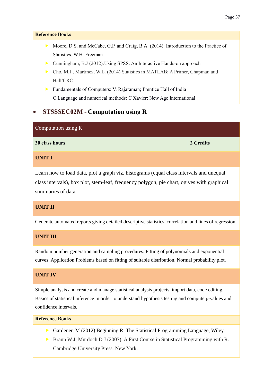#### **Reference Books**

- Moore, D.S. and McCabe, G.P. and Craig, B.A. (2014): Introduction to the Practice of Statistics, W.H. Freeman
- ▶ Cunningham, B.J (2012): Using SPSS: An Interactive Hands-on approach
- Cho, M,J., Martinez, W.L. (2014) Statistics in MATLAB: A Primer, Chapman and Hall/CRC
- Fundamentals of Computers: V. Rajaraman; Prentice Hall of India C Language and numerical methods: C Xavier; New Age International

### <span id="page-37-0"></span>• **STSSSEC02M - Computation using R**

| Computation using R |           |
|---------------------|-----------|
| 30 class hours      | 2 Credits |
| <b>UNIT I</b>       |           |

Learn how to load data, plot a graph viz. histograms (equal class intervals and unequal class intervals), box plot, stem-leaf, frequency polygon, pie chart, ogives with graphical summaries of data.

#### **UNIT II**

Generate automated reports giving detailed descriptive statistics, correlation and lines of regression.

#### **UNIT III**

Random number generation and sampling procedures. Fitting of polynomials and exponential curves. Application Problems based on fitting of suitable distribution, Normal probability plot.

#### **UNIT IV**

Simple analysis and create and manage statistical analysis projects, import data, code editing. Basics of statistical inference in order to understand hypothesis testing and compute p-values and confidence intervals.

#### **Reference Books**

- Gardener, M (2012) Beginning R: The Statistical Programming Language, Wiley.
- Braun W J, Murdoch D J (2007): A First Course in Statistical Programming with R. Cambridge University Press. New York.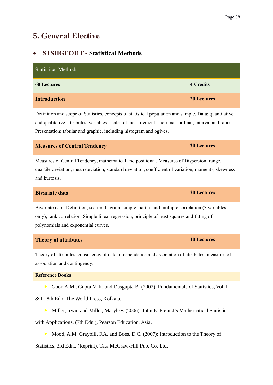## <span id="page-38-0"></span>**5. General Elective**

## <span id="page-38-1"></span>• **STSHGEC01T - Statistical Methods**

| <b>Statistical Methods</b>                                                                                                                                                                                                                                                               |                    |  |
|------------------------------------------------------------------------------------------------------------------------------------------------------------------------------------------------------------------------------------------------------------------------------------------|--------------------|--|
| <b>60 Lectures</b>                                                                                                                                                                                                                                                                       | <b>4 Credits</b>   |  |
| <b>Introduction</b>                                                                                                                                                                                                                                                                      | <b>20 Lectures</b> |  |
| Definition and scope of Statistics, concepts of statistical population and sample. Data: quantitative<br>and qualitative, attributes, variables, scales of measurement - nominal, ordinal, interval and ratio.<br>Presentation: tabular and graphic, including histogram and ogives.     |                    |  |
| <b>Measures of Central Tendency</b>                                                                                                                                                                                                                                                      | <b>20 Lectures</b> |  |
| Measures of Central Tendency, mathematical and positional. Measures of Dispersion: range,<br>quartile deviation, mean deviation, standard deviation, coefficient of variation, moments, skewness<br>and kurtosis.                                                                        |                    |  |
| <b>Bivariate data</b>                                                                                                                                                                                                                                                                    | <b>20 Lectures</b> |  |
| Bivariate data: Definition, scatter diagram, simple, partial and multiple correlation (3 variables<br>only), rank correlation. Simple linear regression, principle of least squares and fitting of<br>polynomials and exponential curves.                                                |                    |  |
| <b>Theory of attributes</b>                                                                                                                                                                                                                                                              | <b>10 Lectures</b> |  |
| Theory of attributes, consistency of data, independence and association of attributes, measures of<br>association and contingency.                                                                                                                                                       |                    |  |
| <b>Reference Books</b>                                                                                                                                                                                                                                                                   |                    |  |
| Goon A.M., Gupta M.K. and Dasgupta B. (2002): Fundamentals of Statistics, Vol. I<br>▶<br>& II, 8th Edn. The World Press, Kolkata.<br>Miller, Irwin and Miller, Marylees (2006): John E. Freund's Mathematical Statistics<br>▶<br>with Applications, (7th Edn.), Pearson Education, Asia. |                    |  |
|                                                                                                                                                                                                                                                                                          |                    |  |

Mood, A.M. Graybill, F.A. and Boes, D.C. (2007): Introduction to the Theory of

Statistics, 3rd Edn., (Reprint), Tata McGraw-Hill Pub. Co. Ltd.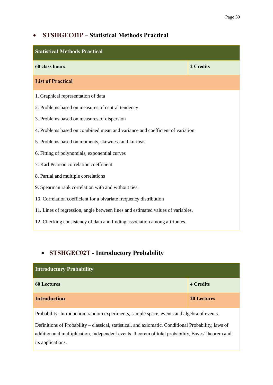## <span id="page-39-0"></span>• **STSHGEC01P – Statistical Methods Practical**

| <b>Statistical Methods Practical</b>                                            |           |  |  |
|---------------------------------------------------------------------------------|-----------|--|--|
| 60 class hours                                                                  | 2 Credits |  |  |
| <b>List of Practical</b>                                                        |           |  |  |
| 1. Graphical representation of data                                             |           |  |  |
| 2. Problems based on measures of central tendency                               |           |  |  |
| 3. Problems based on measures of dispersion                                     |           |  |  |
| 4. Problems based on combined mean and variance and coefficient of variation    |           |  |  |
| 5. Problems based on moments, skewness and kurtosis                             |           |  |  |
| 6. Fitting of polynomials, exponential curves                                   |           |  |  |
| 7. Karl Pearson correlation coefficient                                         |           |  |  |
| 8. Partial and multiple correlations                                            |           |  |  |
| 9. Spearman rank correlation with and without ties.                             |           |  |  |
| 10. Correlation coefficient for a bivariate frequency distribution              |           |  |  |
| 11. Lines of regression, angle between lines and estimated values of variables. |           |  |  |
| 12. Checking consistency of data and finding association among attributes.      |           |  |  |

## <span id="page-39-1"></span>• **STSHGEC02T - Introductory Probability**

| <b>Introductory Probability</b>                                                            |                  |
|--------------------------------------------------------------------------------------------|------------------|
| <b>60 Lectures</b>                                                                         | <b>4 Credits</b> |
| <b>Introduction</b>                                                                        | 20 Lectures      |
| Probability: Introduction, random experiments, sample space, events and algebra of events. |                  |

Definitions of Probability – classical, statistical, and axiomatic. Conditional Probability, laws of addition and multiplication, independent events, theorem of total probability, Bayes' theorem and its applications.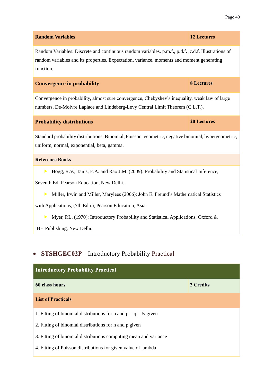## Random Variables: Discrete and continuous random variables, p.m.f., p.d.f. ,c.d.f. Illustrations of random variables and its properties. Expectation, variance, moments and moment generating function.

**Random Variables 12 Lectures**

#### **Convergence in probability 8 Lectures**

Convergence in probability, almost sure convergence, Chebyshev's inequality, weak law of large numbers, De-Moivre Laplace and Lindeberg-Levy Central Limit Theorem (C.L.T.).

#### **Probability distributions 20 Lectures**

Standard probability distributions: Binomial, Poisson, geometric, negative binomial, hypergeometric, uniform, normal, exponential, beta, gamma.

#### **Reference Books**

Hogg, R.V., Tanis, E.A. and Rao J.M. (2009): Probability and Statistical Inference,

Seventh Ed, Pearson Education, New Delhi.

Miller, Irwin and Miller, Marylees (2006): John E. Freund's Mathematical Statistics

with Applications, (7th Edn.), Pearson Education, Asia.

Myer, P.L. (1970): Introductory Probability and Statistical Applications, Oxford &

IBH Publishing, New Delhi.

## <span id="page-40-0"></span>• **STSHGEC02P –** Introductory Probability Practical

| <b>Introductory Probability Practical</b>                                  |           |
|----------------------------------------------------------------------------|-----------|
| 60 class hours                                                             | 2 Credits |
| <b>List of Practicals</b>                                                  |           |
| 1. Fitting of binomial distributions for n and $p = q = \frac{1}{2}$ given |           |
| 2. Fitting of binomial distributions for n and p given                     |           |
| 3. Fitting of binomial distributions computing mean and variance           |           |
| 4. Fitting of Poisson distributions for given value of lambda              |           |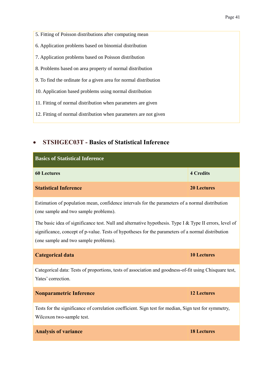5. Fitting of Poisson distributions after computing mean 6. Application problems based on binomial distribution 7. Application problems based on Poisson distribution 8. Problems based on area property of normal distribution 9. To find the ordinate for a given area for normal distribution 10. Application based problems using normal distribution 11. Fitting of normal distribution when parameters are given 12. Fitting of normal distribution when parameters are not given

## <span id="page-41-0"></span>• **STSHGEC03T - Basics of Statistical Inference**

| <b>Basics of Statistical Inference</b> |                    |
|----------------------------------------|--------------------|
| <b>60 Lectures</b>                     | <b>4 Credits</b>   |
| <b>Statistical Inference</b>           | <b>20 Lectures</b> |

Estimation of population mean, confidence intervals for the parameters of a normal distribution (one sample and two sample problems).

The basic idea of significance test. Null and alternative hypothesis. Type I & Type II errors, level of significance, concept of p-value. Tests of hypotheses for the parameters of a normal distribution (one sample and two sample problems).

#### **Categorical data 10 Lectures**

Categorical data: Tests of proportions, tests of association and goodness-of-fit using Chisquare test, Yates' correction.

#### **Nonparametric Inference 12 Lectures**

Tests for the significance of correlation coefficient. Sign test for median, Sign test for symmetry, Wilcoxon two-sample test.

#### **Analysis of variance 18 Lectures**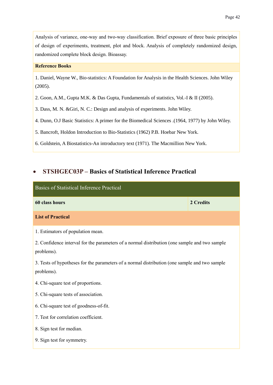Analysis of variance, one-way and two-way classification. Brief exposure of three basic principles of design of experiments, treatment, plot and block. Analysis of completely randomized design, randomized complete block design. Bioassay.

#### **Reference Books**

1. Daniel, Wayne W., Bio-statistics: A Foundation for Analysis in the Health Sciences. John Wiley (2005).

2. Goon, A.M., Gupta M.K. & Das Gupta, Fundamentals of statistics, Vol.-I & II (2005).

3. Dass, M. N. &Giri, N. C.: Design and analysis of experiments. John Wiley.

4. Dunn, O.J Basic Statistics: A primer for the Biomedical Sciences .(1964, 1977) by John Wiley.

5. Bancroft, Holdon Introduction to Bio-Statistics (1962) P.B. Hoebar New York.

6. Goldstein, A Biostatistics-An introductory text (1971). The Macmillion New York.

#### <span id="page-42-0"></span>• **STSHGEC03P – Basics of Statistical Inference Practical**

| Basics of Statistical Inference Practical                                                                                                                                                                                                                                                                                                                                                                                                                  |           |
|------------------------------------------------------------------------------------------------------------------------------------------------------------------------------------------------------------------------------------------------------------------------------------------------------------------------------------------------------------------------------------------------------------------------------------------------------------|-----------|
| 60 class hours                                                                                                                                                                                                                                                                                                                                                                                                                                             | 2 Credits |
| <b>List of Practical</b>                                                                                                                                                                                                                                                                                                                                                                                                                                   |           |
| 1. Estimators of population mean.<br>2. Confidence interval for the parameters of a normal distribution (one sample and two sample<br>problems).<br>3. Tests of hypotheses for the parameters of a normal distribution (one sample and two sample<br>problems).<br>4. Chi-square test of proportions.<br>5. Chi-square tests of association.<br>6. Chi-square test of goodness-of-fit.<br>7. Test for correlation coefficient.<br>8. Sign test for median. |           |
| 9. Sign test for symmetry.                                                                                                                                                                                                                                                                                                                                                                                                                                 |           |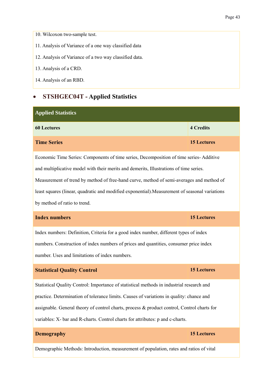10. Wilcoxon two-sample test.

11. Analysis of Variance of a one way classified data

12. Analysis of Variance of a two way classified data.

13. Analysis of a CRD.

14. Analysis of an RBD.

### <span id="page-43-0"></span>• **STSHGEC04T - Applied Statistics**

| <b>Applied Statistics</b>                                                                      |                    |  |
|------------------------------------------------------------------------------------------------|--------------------|--|
| <b>60 Lectures</b>                                                                             | <b>4 Credits</b>   |  |
| <b>Time Series</b>                                                                             | <b>15 Lectures</b> |  |
| Economic Time Series: Components of time series, Decomposition of time series-Additive         |                    |  |
| and multiplicative model with their merits and demerits, Illustrations of time series.         |                    |  |
| Measurement of trend by method of free-hand curve, method of semi-averages and method of       |                    |  |
| least squares (linear, quadratic and modified exponential). Measurement of seasonal variations |                    |  |
| by method of ratio to trend.                                                                   |                    |  |
| <b>Index numbers</b>                                                                           | <b>15 Lectures</b> |  |
| Index numbers: Definition, Criteria for a good index number, different types of index          |                    |  |
| numbers. Construction of index numbers of prices and quantities, consumer price index          |                    |  |
| number. Uses and limitations of index numbers.                                                 |                    |  |

#### **Statistical Quality Control 15 Lectures**

Statistical Quality Control: Importance of statistical methods in industrial research and practice. Determination of tolerance limits. Causes of variations in quality: chance and assignable. General theory of control charts, process & product control, Control charts for variables: X- bar and R-charts. Control charts for attributes: p and c-charts.

#### **Demography 15 Lectures**

Demographic Methods: Introduction, measurement of population, rates and ratios of vital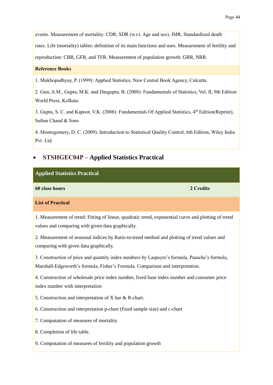events. Measurement of mortality: CDR, SDR (w.r.t. Age and sex), IMR, Standardized death

rates. Life (mortality) tables: definition of its main functions and uses. Measurement of fertility and

reproduction: CBR, GFR, and TFR. Measurement of population growth: GRR, NRR.

#### **Reference Books**

1. Mukhopadhyay, P. (1999): Applied Statistics, New Central Book Agency, Calcutta.

2. Gun, A.M., Gupta, M.K. and Dasgupta, B. (2008): Fundamentals of Statistics, Vol. II, 9th Edition World Press, Kolkata.

3. Gupta, S. C. and Kapoor, V.K. (2008): Fundamentals Of Applied Statistics, 4<sup>th</sup> Edition(Reprint), Sultan Chand & Sons

4. Montogomery, D. C. (2009): Introduction to Statistical Quality Control, 6th Edition, Wiley India Pvt. Ltd.

### <span id="page-44-0"></span>• **STSHGEC04P – Applied Statistics Practical**

| <b>Applied Statistics Practical</b>                                                                                                                                             |           |  |
|---------------------------------------------------------------------------------------------------------------------------------------------------------------------------------|-----------|--|
| 60 class hours                                                                                                                                                                  | 2 Credits |  |
| <b>List of Practical</b>                                                                                                                                                        |           |  |
| 1. Measurement of trend: Fitting of linear, quadratic trend, exponential curve and plotting of trend<br>values and comparing with given data graphically.                       |           |  |
| 2. Measurement of seasonal indices by Ratio-to-trend method and plotting of trend values and<br>comparing with given data graphically.                                          |           |  |
| 3. Construction of price and quantity index numbers by Laspeyre's formula, Paasche's formula,<br>Marshall-Edgeworth's formula, Fisher's Formula. Comparison and interpretation. |           |  |
| 4. Construction of wholesale price index number, fixed base index number and consumer price<br>index number with interpretation                                                 |           |  |
| 5. Construction and interpretation of X bar & R-chart.                                                                                                                          |           |  |
| 6. Construction and interpretation p-chart (fixed sample size) and c-chart                                                                                                      |           |  |
| 7. Computation of measures of mortality                                                                                                                                         |           |  |
| 8. Completion of life table.                                                                                                                                                    |           |  |
| 9. Computation of measures of fertility and population growth                                                                                                                   |           |  |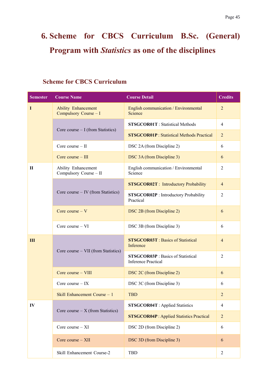## <span id="page-45-0"></span>**6. Scheme for CBCS Curriculum B.Sc. (General) Program with** *Statistics* **as one of the disciplines**

## <span id="page-45-1"></span>**Scheme for CBCS Curriculum**

| <b>Semester</b> | <b>Course Name</b>                                  | <b>Course Detail</b>                                                    | <b>Credits</b>   |
|-----------------|-----------------------------------------------------|-------------------------------------------------------------------------|------------------|
| $\bf{I}$        | <b>Ability Enhancement</b><br>Compulsory Course - I | English communication / Environmental<br>Science                        | $\overline{2}$   |
|                 | Core course $- I$ (from Statistics)                 | <b>STSGCOR01T</b> : Statistical Methods                                 | $\overline{4}$   |
|                 |                                                     | <b>STSGCOR01P</b> : Statistical Methods Practical                       | $\overline{2}$   |
|                 | Core course $-$ II                                  | DSC 2A (from Discipline 2)                                              | 6                |
|                 | Core course $-$ III                                 | DSC 3A (from Discipline 3)                                              | 6                |
| $\mathbf{I}$    | Ability Enhancement<br>Compulsory Course - II       | English communication / Environmental<br>Science                        | $\overline{2}$   |
|                 |                                                     | <b>STSGCOR02T</b> : Introductory Probability                            | $\overline{4}$   |
|                 | Core course – IV (from Statistics)                  | <b>STSGCOR02P</b> : Introductory Probability<br>Practical               | $\overline{2}$   |
|                 | Core course $- V$                                   | DSC 2B (from Discipline 2)                                              | 6                |
|                 | Core course - VI                                    | DSC 3B (from Discipline 3)                                              | 6                |
| III             | Core course – VII (from Statistics)                 | <b>STSGCOR03T</b> : Basics of Statistical<br>Inference                  | $\overline{4}$   |
|                 |                                                     | <b>STSGCOR03P</b> : Basics of Statistical<br><b>Inference Practical</b> | $\overline{2}$   |
|                 | Core course - VIII                                  | DSC 2C (from Discipline 2)                                              | 6                |
|                 | Core course $-$ IX                                  | DSC 3C (from Discipline 3)                                              | 6                |
|                 | Skill Enhancement Course - 1                        | <b>TBD</b>                                                              | $\boldsymbol{2}$ |
| IV              | Core course $- X$ (from Statistics)                 | <b>STSGCOR04T</b> : Applied Statistics                                  | $\overline{4}$   |
|                 |                                                     | <b>STSGCOR04P</b> : Applied Statistics Practical                        | $\overline{2}$   |
|                 | Core course $- XI$                                  | DSC 2D (from Discipline 2)                                              | 6                |
|                 | Core course $- XII$                                 | DSC 3D (from Discipline 3)                                              | 6                |
|                 | Skill Enhancement Course-2                          | <b>TBD</b>                                                              | $\overline{c}$   |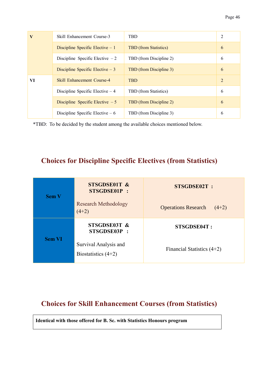| V  | Skill Enhancement Course-3        | <b>TBD</b>                   | 2                           |
|----|-----------------------------------|------------------------------|-----------------------------|
|    | Discipline Specific Elective $-1$ | <b>TBD</b> (from Statistics) | 6                           |
|    | Discipline Specific Elective $-2$ | TBD (from Discipline 2)      | 6                           |
|    | Discipline Specific Elective $-3$ | TBD (from Discipline 3)      | 6                           |
| VI | <b>Skill Enhancement Course-4</b> | <b>TBD</b>                   | $\mathcal{D}_{\mathcal{L}}$ |
|    | Discipline Specific Elective $-4$ | TBD (from Statistics)        | 6                           |
|    | Discipline Specific Elective $-5$ | TBD (from Discipline 2)      | 6                           |
|    | Discipline Specific Elective $-6$ | TBD (from Discipline 3)      | 6                           |

\*TBD: To be decided by the student among the available choices mentioned below.

## <span id="page-46-0"></span>**Choices for Discipline Specific Electives (from Statistics)**

| <b>Sem V</b>  | STSGDSE01T &<br>STSGDSE01P:<br><b>Research Methodology</b><br>$(4+2)$ | <b>STSGDSE02T:</b><br><b>Operations Research</b><br>$(4+2)$ |
|---------------|-----------------------------------------------------------------------|-------------------------------------------------------------|
|               | STSGDSE03T &<br>STSGDSE03P:                                           | STSGDSE04T:                                                 |
| <b>Sem VI</b> | Survival Analysis and<br>Biostatistics $(4+2)$                        | Financial Statistics $(4+2)$                                |

## <span id="page-46-1"></span>**Choices for Skill Enhancement Courses (from Statistics)**

**Identical with those offered for B. Sc. with Statistics Honours program**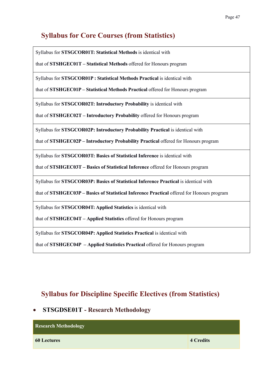## <span id="page-47-0"></span>**Syllabus for Core Courses (from Statistics)**

Syllabus for **STSGCOR01T: Statistical Methods** is identical with

that of **STSHGEC01T – Statistical Methods** offered for Honours program

Syllabus for **STSGCOR01P : Statistical Methods Practical** is identical with

that of **STSHGEC01P – Statistical Methods Practical** offered for Honours program

Syllabus for **STSGCOR02T: Introductory Probability** is identical with

that of **STSHGEC02T – Introductory Probability** offered for Honours program

Syllabus for **STSGCOR02P: Introductory Probability Practical** is identical with

that of **STSHGEC02P – Introductory Probability Practical** offered for Honours program

Syllabus for **STSGCOR03T: Basics of Statistical Inference** is identical with

that of **STSHGEC03T – Basics of Statistical Inference** offered for Honours program

Syllabus for **STSGCOR03P: Basics of Statistical Inference Practical** is identical with

that of **STSHGEC03P – Basics of Statistical Inference Practical** offered for Honours program

Syllabus for **STSGCOR04T: Applied Statistics** is identical with

that of **STSHGEC04T – Applied Statistics** offered for Honours program

Syllabus for **STSGCOR04P: Applied Statistics Practical** is identical with

<span id="page-47-1"></span>that of **STSHGEC04P – Applied Statistics Practical** offered for Honours program

## **Syllabus for Discipline Specific Electives (from Statistics)**

#### <span id="page-47-2"></span>• **STSGDSE01T - Research Methodology**

| <b>Research Methodology</b> |                  |
|-----------------------------|------------------|
| <b>60 Lectures</b>          | <b>4 Credits</b> |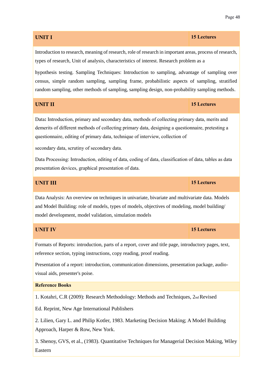## **UNIT I 15 Lectures** Introduction to research, meaning of research, role of research in important areas, process of research, types of research, Unit of analysis, characteristics of interest. Research problem as a hypothesis testing. Sampling Techniques: Introduction to sampling, advantage of sampling over census, simple random sampling, sampling frame, probabilistic aspects of sampling, stratified random sampling, other methods of sampling, sampling design, non-probability sampling methods. **UNIT II 15 Lectures** Data**:** Introduction, primary and secondary data, methods of collecting primary data, merits and demerits of different methods of collecting primary data, designing a questionnaire, pretesting a questionnaire, editing of primary data, technique of interview, collection of secondary data, scrutiny of secondary data. Data Processing: Introduction, editing of data, coding of data, classification of data, tables as data presentation devices, graphical presentation of data. **UNIT III 15 Lectures** Data Analysis: An overview on techniques in univariate, bivariate and multivariate data. Models and Model Building: role of models, types of models, objectives of modeling, model building/ model development, model validation, simulation models **UNIT IV 15 Lectures** Formats of Reports: introduction, parts of a report, cover and title page, introductory pages, text,

Presentation of a report: introduction, communication dimensions, presentation package, audiovisual aids, presenter's poise.

#### **Reference Books**

1. Kotahri, C.R (2009): Research Methodology: Methods and Techniques, 2nd Revised

Ed. Reprint, New Age International Publishers

reference section, typing instructions, copy reading, proof reading.

2. Lilien, Gary L. and Philip Kotler, 1983. Marketing Decision Making; A Model Building Approach, Harper & Row, New York.

3. Shenoy, GVS, et al., (1983). Quantitative Techniques for Managerial Decision Making, Wiley Eastern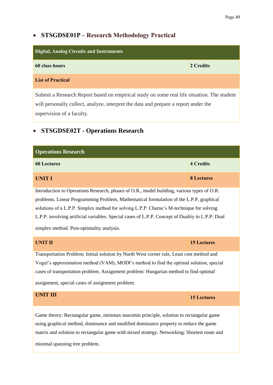## <span id="page-49-0"></span>• **STSGDSE01P – Research Methodology Practical**

| <b>Digital, Analog Circuits and Instruments</b>                                            |           |  |
|--------------------------------------------------------------------------------------------|-----------|--|
| 60 class hours                                                                             | 2 Credits |  |
| <b>List of Practical</b>                                                                   |           |  |
| Submit a Research Report based on empirical study on some real life situation. The student |           |  |
| will personally collect, analyze, interpret the data and prepare a report under the        |           |  |

supervision of a faculty.

## <span id="page-49-1"></span>• **STSGDSE02T - Operations Research**

| <b>Operations Research</b>                                                                       |                    |  |
|--------------------------------------------------------------------------------------------------|--------------------|--|
| <b>60 Lectures</b>                                                                               | <b>4 Credits</b>   |  |
| <b>UNIT I</b>                                                                                    | <b>8 Lectures</b>  |  |
| Introduction to Operations Research, phases of O.R., model building, various types of O.R.       |                    |  |
| problems. Linear Programming Problem, Mathematical formulation of the L.P.P, graphical           |                    |  |
| solutions of a L.P.P. Simplex method for solving L.P.P. Charne's M-technique for solving         |                    |  |
| L.P.P. involving artificial variables. Special cases of L.P.P. Concept of Duality in L.P.P: Dual |                    |  |
| simplex method. Post-optimality analysis.                                                        |                    |  |
| <b>UNIT II</b>                                                                                   | <b>15 Lectures</b> |  |
| Transportation Problem: Initial solution by North West corner rule, Least cost method and        |                    |  |
| Vogel's approximation method (VAM), MODI's method to find the optimal solution, special          |                    |  |
| cases of transportation problem. Assignment problem: Hungarian method to find optimal            |                    |  |
| assignment, special cases of assignment problem.                                                 |                    |  |
| <b>UNIT III</b>                                                                                  | <b>15 Lectures</b> |  |
| Game theory: Rectangular game, minimax-maximin principle, solution to rectangular game           |                    |  |
| using graphical method, dominance and modified dominance property to reduce the game             |                    |  |
| matrix and solution to rectangular game with mixed strategy. Networking: Shortest route and      |                    |  |
| minimal spanning tree problem.                                                                   |                    |  |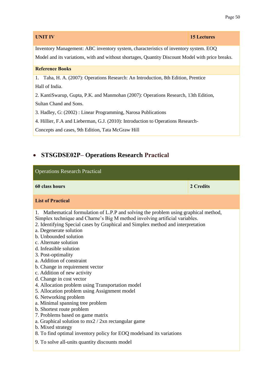| <b>UNIT IV</b>                                                                                   | <b>15 Lectures</b> |
|--------------------------------------------------------------------------------------------------|--------------------|
| Inventory Management: ABC inventory system, characteristics of inventory system. EOQ             |                    |
| Model and its variations, with and without shortages, Quantity Discount Model with price breaks. |                    |
| <b>Reference Books</b>                                                                           |                    |
| 1. Taha, H. A. (2007): Operations Research: An Introduction, 8th Edition, Prentice               |                    |
| Hall of India.                                                                                   |                    |
| 2. KantiSwarup, Gupta, P.K. and Manmohan (2007): Operations Research, 13th Edition,              |                    |
| Sultan Chand and Sons.                                                                           |                    |
| 3. Hadley, G: (2002): Linear Programming, Narosa Publications                                    |                    |
| 4. Hillier, F.A and Lieberman, G.J. (2010): Introduction to Operations Research-                 |                    |
| Concepts and cases, 9th Edition, Tata McGraw Hill                                                |                    |

## <span id="page-50-0"></span>• **STSGDSE02P– Operations Research Practical**

| <b>Operations Research Practical</b>                                                                                                                                                                                                                                                                                                                                                                                                                                                                                                                                                                                                                                                                                                                                                                                                                                                                                                                       |           |  |
|------------------------------------------------------------------------------------------------------------------------------------------------------------------------------------------------------------------------------------------------------------------------------------------------------------------------------------------------------------------------------------------------------------------------------------------------------------------------------------------------------------------------------------------------------------------------------------------------------------------------------------------------------------------------------------------------------------------------------------------------------------------------------------------------------------------------------------------------------------------------------------------------------------------------------------------------------------|-----------|--|
| 60 class hours                                                                                                                                                                                                                                                                                                                                                                                                                                                                                                                                                                                                                                                                                                                                                                                                                                                                                                                                             | 2 Credits |  |
| <b>List of Practical</b>                                                                                                                                                                                                                                                                                                                                                                                                                                                                                                                                                                                                                                                                                                                                                                                                                                                                                                                                   |           |  |
| Mathematical formulation of L.P.P and solving the problem using graphical method,<br>1.<br>Simplex technique and Charne's Big M method involving artificial variables.<br>2. Identifying Special cases by Graphical and Simplex method and interpretation<br>a. Degenerate solution<br>b. Unbounded solution<br>c. Alternate solution<br>d. Infeasible solution<br>3. Post-optimality<br>a. Addition of constraint<br>b. Change in requirement vector<br>c. Addition of new activity<br>d. Change in cost vector<br>4. Allocation problem using Transportation model<br>5. Allocation problem using Assignment model<br>6. Networking problem<br>a. Minimal spanning tree problem<br>b. Shortest route problem<br>7. Problems based on game matrix<br>a. Graphical solution to $mx2 / 2xn$ rectangular game<br>b. Mixed strategy<br>8. To find optimal inventory policy for EOQ modelsand its variations<br>9. To solve all-units quantity discounts model |           |  |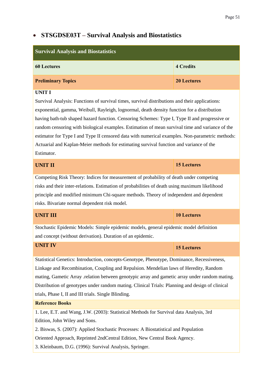## • **STSGDSE03T – Survival Analysis and Biostatistics**

| <b>Survival Analysis and Biostatistics</b>                                                                                                                                                                                                                                                                                                                                                                                                                                                                                                                                                                                     |                    |  |
|--------------------------------------------------------------------------------------------------------------------------------------------------------------------------------------------------------------------------------------------------------------------------------------------------------------------------------------------------------------------------------------------------------------------------------------------------------------------------------------------------------------------------------------------------------------------------------------------------------------------------------|--------------------|--|
| <b>60 Lectures</b>                                                                                                                                                                                                                                                                                                                                                                                                                                                                                                                                                                                                             | <b>4 Credits</b>   |  |
| <b>Preliminary Topics</b>                                                                                                                                                                                                                                                                                                                                                                                                                                                                                                                                                                                                      | <b>20 Lectures</b> |  |
| <b>UNIT I</b><br>Survival Analysis: Functions of survival times, survival distributions and their applications:<br>exponential, gamma, Weibull, Rayleigh, lognormal, death density function for a distribution<br>having bath-tub shaped hazard function. Censoring Schemes: Type I, Type II and progressive or<br>random censoring with biological examples. Estimation of mean survival time and variance of the<br>estimator for Type I and Type II censored data with numerical examples. Non-parametric methods:<br>Actuarial and Kaplan-Meier methods for estimating survival function and variance of the<br>Estimator. |                    |  |
| <b>UNIT II</b>                                                                                                                                                                                                                                                                                                                                                                                                                                                                                                                                                                                                                 | <b>15 Lectures</b> |  |
| Competing Risk Theory: Indices for measurement of probability of death under competing<br>risks and their inter-relations. Estimation of probabilities of death using maximum likelihood<br>principle and modified minimum Chi-square methods. Theory of independent and dependent<br>risks. Bivariate normal dependent risk model.                                                                                                                                                                                                                                                                                            |                    |  |
| <b>UNIT III</b>                                                                                                                                                                                                                                                                                                                                                                                                                                                                                                                                                                                                                | <b>10 Lectures</b> |  |
| Stochastic Epidemic Models: Simple epidemic models, general epidemic model definition<br>and concept (without derivation). Duration of an epidemic.                                                                                                                                                                                                                                                                                                                                                                                                                                                                            |                    |  |
| <b>UNIT IV</b>                                                                                                                                                                                                                                                                                                                                                                                                                                                                                                                                                                                                                 | <b>15 Lectures</b> |  |
| Statistical Genetics: Introduction, concepts-Genotype, Phenotype, Dominance, Recessiveness,<br>Linkage and Recombination, Coupling and Repulsion. Mendelian laws of Heredity, Random<br>mating, Gametic Array relation between genotypic array and gametic array under random mating.<br>Distribution of genotypes under random mating. Clinical Trials: Planning and design of clinical<br>trials, Phase I, II and III trials. Single Blinding.                                                                                                                                                                               |                    |  |

#### **Reference Books**

1. Lee, E.T. and Wang, J.W. (2003): Statistical Methods for Survival data Analysis, 3rd Edition, John Wiley and Sons.

2. Biswas, S. (2007): Applied Stochastic Processes: A Biostatistical and Population

Oriented Approach, Reprinted 2ndCentral Edition, New Central Book Agency.

3. Kleinbaum, D.G. (1996): Survival Analysis, Springer.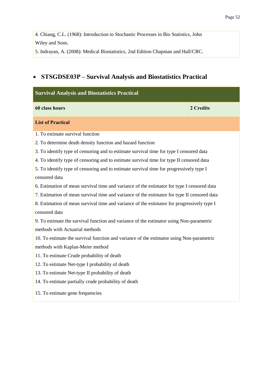4. Chiang, C.L. (1968): Introduction to Stochastic Processes in Bio Statistics, John Wiley and Sons.

5. Indrayan, A. (2008): Medical Biostatistics, 2nd Edition Chapman and Hall/CRC.

## <span id="page-52-0"></span>• **STSGDSE03P – Survival Analysis and Biostatistics Practical**

| <b>Survival Analysis and Biostatistics Practical</b>                                        |           |
|---------------------------------------------------------------------------------------------|-----------|
| 60 class hours                                                                              | 2 Credits |
| <b>List of Practical</b>                                                                    |           |
| 1. To estimate survival function                                                            |           |
| 2. To determine death density function and hazard function                                  |           |
| 3. To identify type of censoring and to estimate survival time for type I censored data     |           |
| 4. To identify type of censoring and to estimate survival time for type II censored data    |           |
| 5. To identify type of censoring and to estimate survival time for progressively type I     |           |
| censored data                                                                               |           |
| 6. Estimation of mean survival time and variance of the estimator for type I censored data  |           |
| 7. Estimation of mean survival time and variance of the estimator for type II censored data |           |
| 8. Estimation of mean survival time and variance of the estimator for progressively type I  |           |
| censored data                                                                               |           |
| 9. To estimate the survival function and variance of the estimator using Non-parametric     |           |
| methods with Actuarial methods                                                              |           |
| 10. To estimate the survival function and variance of the estimator using Non-parametric    |           |
| methods with Kaplan-Meier method                                                            |           |
| 11. To estimate Crude probability of death                                                  |           |
| 12. To estimate Net-type I probability of death                                             |           |
| 13. To estimate Net-type II probability of death                                            |           |
| 14. To estimate partially crude probability of death                                        |           |
| 15. To estimate gene frequencies                                                            |           |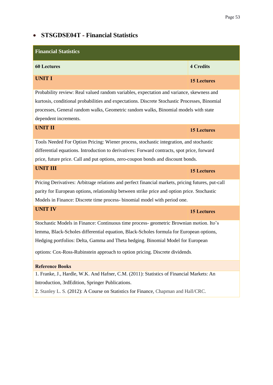#### Page 53

## <span id="page-53-0"></span>• **STSGDSE04T - Financial Statistics**

| <b>Financial Statistics</b>                                                                       |                    |
|---------------------------------------------------------------------------------------------------|--------------------|
| <b>60 Lectures</b>                                                                                | <b>4 Credits</b>   |
| <b>UNIT I</b>                                                                                     | <b>15 Lectures</b> |
| Probability review: Real valued random variables, expectation and variance, skewness and          |                    |
| kurtosis, conditional probabilities and expectations. Discrete Stochastic Processes, Binomial     |                    |
| processes, General random walks, Geometric random walks, Binomial models with state               |                    |
| dependent increments.                                                                             |                    |
| <b>UNIT II</b>                                                                                    | <b>15 Lectures</b> |
| Tools Needed For Option Pricing: Wiener process, stochastic integration, and stochastic           |                    |
| differential equations. Introduction to derivatives: Forward contracts, spot price, forward       |                    |
| price, future price. Call and put options, zero-coupon bonds and discount bonds.                  |                    |
| <b>UNIT III</b>                                                                                   | <b>15 Lectures</b> |
| Pricing Derivatives: Arbitrage relations and perfect financial markets, pricing futures, put-call |                    |
| parity for European options, relationship between strike price and option price. Stochastic       |                    |
| Models in Finance: Discrete time process-binomial model with period one.                          |                    |
| <b>UNIT IV</b>                                                                                    | <b>15 Lectures</b> |
| Stochastic Models in Finance: Continuous time process-geometric Brownian motion. Ito's            |                    |
| lemma, Black-Scholes differential equation, Black-Scholes formula for European options,           |                    |
| Hedging portfolios: Delta, Gamma and Theta hedging. Binomial Model for European                   |                    |
| options: Cox-Ross-Rubinstein approach to option pricing. Discrete dividends.                      |                    |
| <b>Reference Books</b>                                                                            |                    |
| 1. Franke, J., Hardle, W.K. And Hafner, C.M. (2011): Statistics of Financial Markets: An          |                    |
| Introduction, 3rdEdition, Springer Publications.                                                  |                    |
| 2. Stanley L. S. (2012): A Course on Statistics for Finance, Chapman and Hall/CRC.                |                    |
|                                                                                                   |                    |